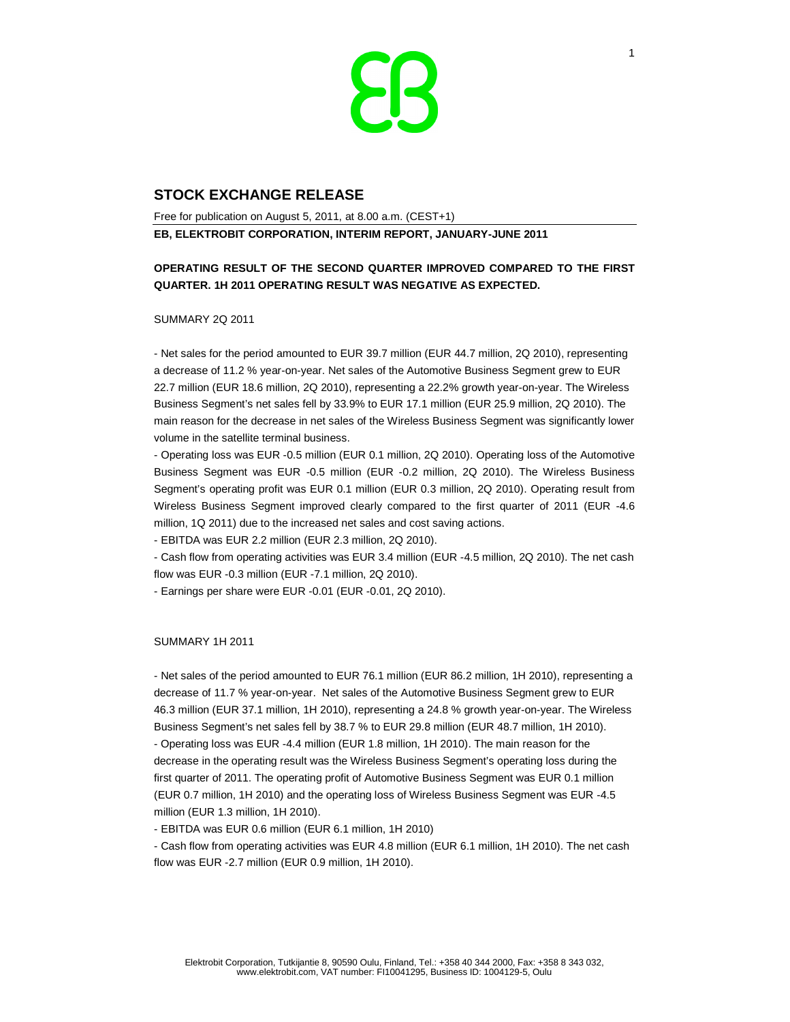

# **STOCK EXCHANGE RELEASE**

Free for publication on August 5, 2011, at 8.00 a.m. (CEST+1) **EB, ELEKTROBIT CORPORATION, INTERIM REPORT, JANUARY-JUNE 2011** 

## **OPERATING RESULT OF THE SECOND QUARTER IMPROVED COMPARED TO THE FIRST QUARTER. 1H 2011 OPERATING RESULT WAS NEGATIVE AS EXPECTED.**

SUMMARY 2Q 2011

- Net sales for the period amounted to EUR 39.7 million (EUR 44.7 million, 2Q 2010), representing a decrease of 11.2 % year-on-year. Net sales of the Automotive Business Segment grew to EUR 22.7 million (EUR 18.6 million, 2Q 2010), representing a 22.2% growth year-on-year. The Wireless Business Segment's net sales fell by 33.9% to EUR 17.1 million (EUR 25.9 million, 2Q 2010). The main reason for the decrease in net sales of the Wireless Business Segment was significantly lower volume in the satellite terminal business.

- Operating loss was EUR -0.5 million (EUR 0.1 million, 2Q 2010). Operating loss of the Automotive Business Segment was EUR -0.5 million (EUR -0.2 million, 2Q 2010). The Wireless Business Segment's operating profit was EUR 0.1 million (EUR 0.3 million, 2Q 2010). Operating result from Wireless Business Segment improved clearly compared to the first quarter of 2011 (EUR -4.6 million, 1Q 2011) due to the increased net sales and cost saving actions.

- EBITDA was EUR 2.2 million (EUR 2.3 million, 2Q 2010).

- Cash flow from operating activities was EUR 3.4 million (EUR -4.5 million, 2Q 2010). The net cash flow was EUR -0.3 million (EUR -7.1 million, 2Q 2010).

- Earnings per share were EUR -0.01 (EUR -0.01, 2Q 2010).

#### SUMMARY 1H 2011

- Net sales of the period amounted to EUR 76.1 million (EUR 86.2 million, 1H 2010), representing a decrease of 11.7 % year-on-year. Net sales of the Automotive Business Segment grew to EUR 46.3 million (EUR 37.1 million, 1H 2010), representing a 24.8 % growth year-on-year. The Wireless Business Segment's net sales fell by 38.7 % to EUR 29.8 million (EUR 48.7 million, 1H 2010). - Operating loss was EUR -4.4 million (EUR 1.8 million, 1H 2010). The main reason for the decrease in the operating result was the Wireless Business Segment's operating loss during the first quarter of 2011. The operating profit of Automotive Business Segment was EUR 0.1 million (EUR 0.7 million, 1H 2010) and the operating loss of Wireless Business Segment was EUR -4.5 million (EUR 1.3 million, 1H 2010).

- EBITDA was EUR 0.6 million (EUR 6.1 million, 1H 2010)

- Cash flow from operating activities was EUR 4.8 million (EUR 6.1 million, 1H 2010). The net cash flow was EUR -2.7 million (EUR 0.9 million, 1H 2010).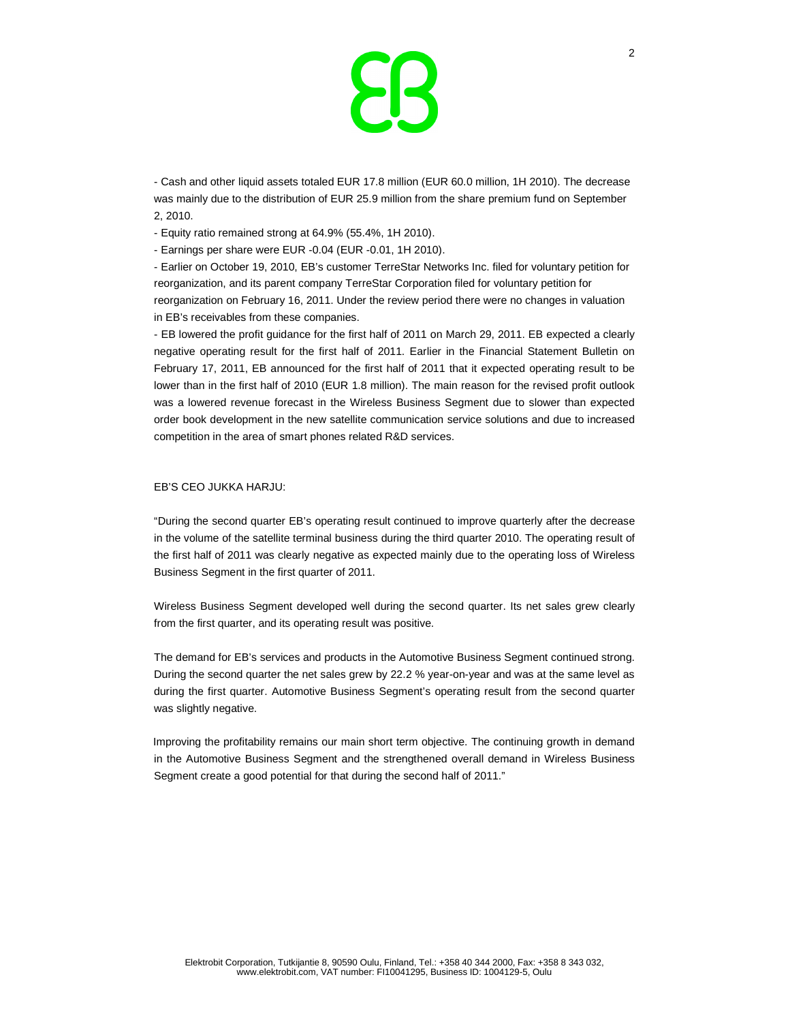

- Cash and other liquid assets totaled EUR 17.8 million (EUR 60.0 million, 1H 2010). The decrease was mainly due to the distribution of EUR 25.9 million from the share premium fund on September 2, 2010.

- Equity ratio remained strong at 64.9% (55.4%, 1H 2010).

- Earnings per share were EUR -0.04 (EUR -0.01, 1H 2010).

- Earlier on October 19, 2010, EB's customer TerreStar Networks Inc. filed for voluntary petition for reorganization, and its parent company TerreStar Corporation filed for voluntary petition for reorganization on February 16, 2011. Under the review period there were no changes in valuation in EB's receivables from these companies.

- EB lowered the profit guidance for the first half of 2011 on March 29, 2011. EB expected a clearly negative operating result for the first half of 2011. Earlier in the Financial Statement Bulletin on February 17, 2011, EB announced for the first half of 2011 that it expected operating result to be lower than in the first half of 2010 (EUR 1.8 million). The main reason for the revised profit outlook was a lowered revenue forecast in the Wireless Business Segment due to slower than expected order book development in the new satellite communication service solutions and due to increased competition in the area of smart phones related R&D services.

#### EB'S CEO JUKKA HARJU:

"During the second quarter EB's operating result continued to improve quarterly after the decrease in the volume of the satellite terminal business during the third quarter 2010. The operating result of the first half of 2011 was clearly negative as expected mainly due to the operating loss of Wireless Business Segment in the first quarter of 2011.

Wireless Business Segment developed well during the second quarter. Its net sales grew clearly from the first quarter, and its operating result was positive.

The demand for EB's services and products in the Automotive Business Segment continued strong. During the second quarter the net sales grew by 22.2 % year-on-year and was at the same level as during the first quarter. Automotive Business Segment's operating result from the second quarter was slightly negative.

Improving the profitability remains our main short term objective. The continuing growth in demand in the Automotive Business Segment and the strengthened overall demand in Wireless Business Segment create a good potential for that during the second half of 2011."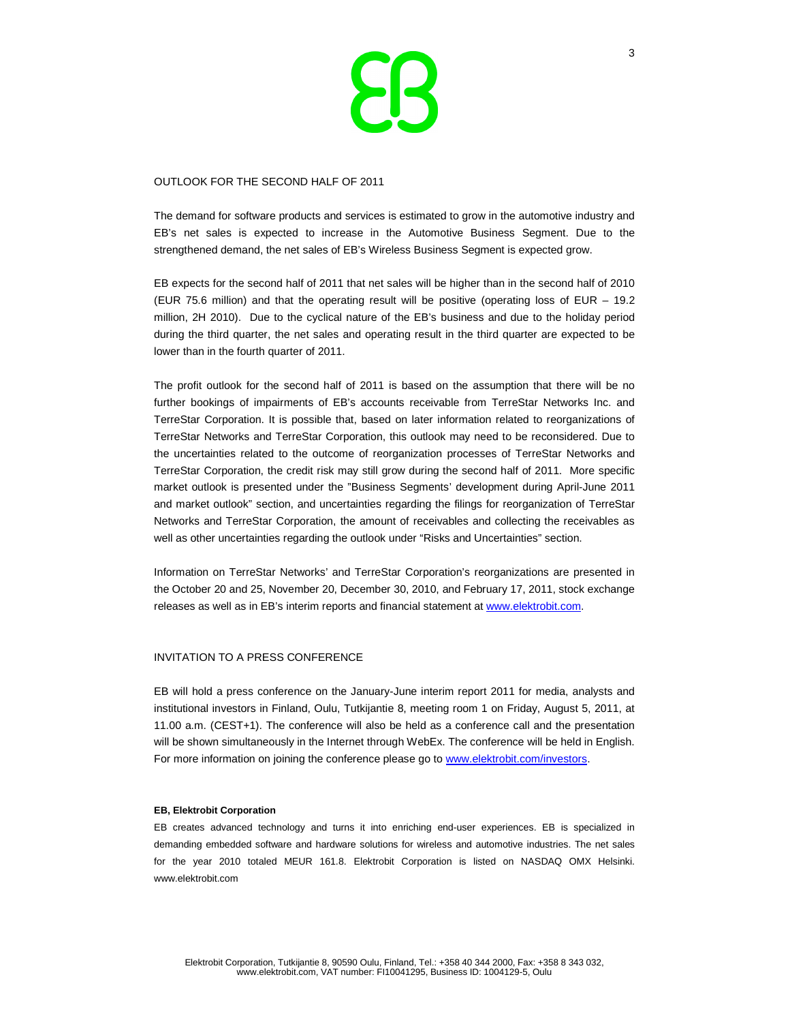

#### OUTLOOK FOR THE SECOND HALF OF 2011

The demand for software products and services is estimated to grow in the automotive industry and EB's net sales is expected to increase in the Automotive Business Segment. Due to the strengthened demand, the net sales of EB's Wireless Business Segment is expected grow.

EB expects for the second half of 2011 that net sales will be higher than in the second half of 2010 (EUR 75.6 million) and that the operating result will be positive (operating loss of EUR – 19.2 million, 2H 2010). Due to the cyclical nature of the EB's business and due to the holiday period during the third quarter, the net sales and operating result in the third quarter are expected to be lower than in the fourth quarter of 2011.

The profit outlook for the second half of 2011 is based on the assumption that there will be no further bookings of impairments of EB's accounts receivable from TerreStar Networks Inc. and TerreStar Corporation. It is possible that, based on later information related to reorganizations of TerreStar Networks and TerreStar Corporation, this outlook may need to be reconsidered. Due to the uncertainties related to the outcome of reorganization processes of TerreStar Networks and TerreStar Corporation, the credit risk may still grow during the second half of 2011. More specific market outlook is presented under the "Business Segments' development during April-June 2011 and market outlook" section, and uncertainties regarding the filings for reorganization of TerreStar Networks and TerreStar Corporation, the amount of receivables and collecting the receivables as well as other uncertainties regarding the outlook under "Risks and Uncertainties" section.

Information on TerreStar Networks' and TerreStar Corporation's reorganizations are presented in the October 20 and 25, November 20, December 30, 2010, and February 17, 2011, stock exchange releases as well as in EB's interim reports and financial statement at www.elektrobit.com.

#### INVITATION TO A PRESS CONFERENCE

EB will hold a press conference on the January-June interim report 2011 for media, analysts and institutional investors in Finland, Oulu, Tutkijantie 8, meeting room 1 on Friday, August 5, 2011, at 11.00 a.m. (CEST+1). The conference will also be held as a conference call and the presentation will be shown simultaneously in the Internet through WebEx. The conference will be held in English. For more information on joining the conference please go to www.elektrobit.com/investors.

#### **EB, Elektrobit Corporation**

EB creates advanced technology and turns it into enriching end-user experiences. EB is specialized in demanding embedded software and hardware solutions for wireless and automotive industries. The net sales for the year 2010 totaled MEUR 161.8. Elektrobit Corporation is listed on NASDAQ OMX Helsinki. www.elektrobit.com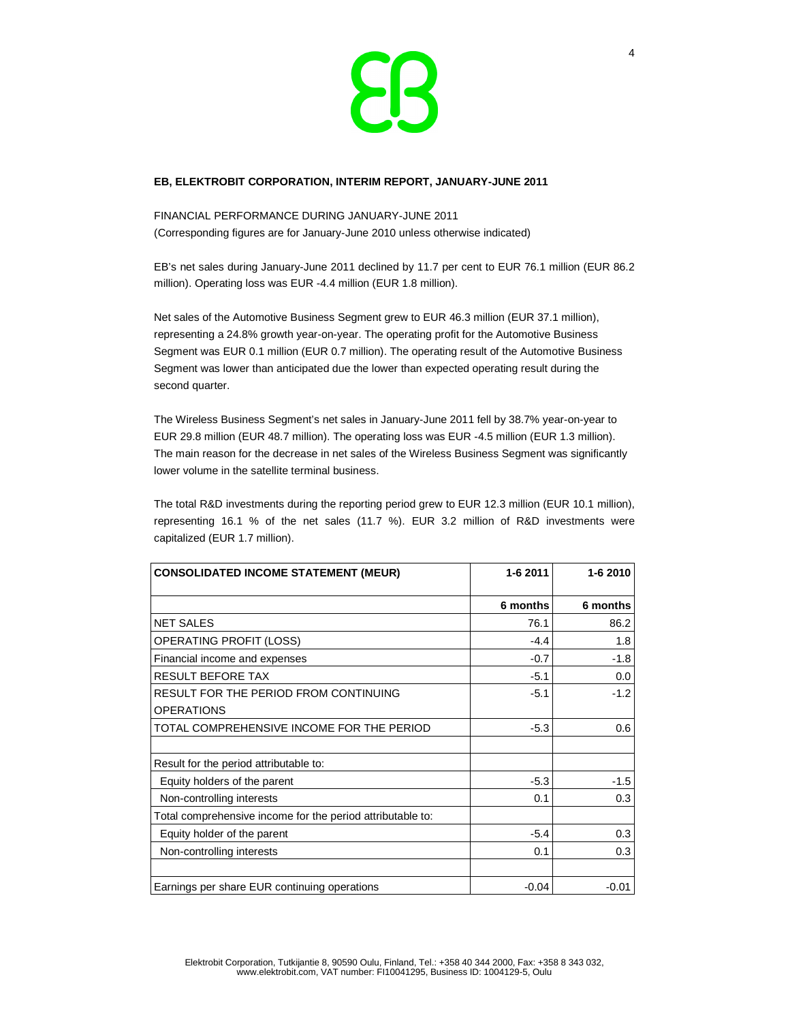

## **EB, ELEKTROBIT CORPORATION, INTERIM REPORT, JANUARY-JUNE 2011**

FINANCIAL PERFORMANCE DURING JANUARY-JUNE 2011 (Corresponding figures are for January-June 2010 unless otherwise indicated)

EB's net sales during January-June 2011 declined by 11.7 per cent to EUR 76.1 million (EUR 86.2 million). Operating loss was EUR -4.4 million (EUR 1.8 million).

Net sales of the Automotive Business Segment grew to EUR 46.3 million (EUR 37.1 million), representing a 24.8% growth year-on-year. The operating profit for the Automotive Business Segment was EUR 0.1 million (EUR 0.7 million). The operating result of the Automotive Business Segment was lower than anticipated due the lower than expected operating result during the second quarter.

The Wireless Business Segment's net sales in January-June 2011 fell by 38.7% year-on-year to EUR 29.8 million (EUR 48.7 million). The operating loss was EUR -4.5 million (EUR 1.3 million). The main reason for the decrease in net sales of the Wireless Business Segment was significantly lower volume in the satellite terminal business.

The total R&D investments during the reporting period grew to EUR 12.3 million (EUR 10.1 million), representing 16.1 % of the net sales (11.7 %). EUR 3.2 million of R&D investments were capitalized (EUR 1.7 million).

| <b>CONSOLIDATED INCOME STATEMENT (MEUR)</b>                | 1-6 2011 | 1-6 2010 |  |
|------------------------------------------------------------|----------|----------|--|
|                                                            | 6 months | 6 months |  |
| <b>NET SALES</b>                                           | 76.1     | 86.2     |  |
| <b>OPERATING PROFIT (LOSS)</b>                             | $-4.4$   | 1.8      |  |
| Financial income and expenses                              | $-0.7$   | $-1.8$   |  |
| <b>RESULT BEFORE TAX</b>                                   | $-5.1$   | 0.0      |  |
| RESULT FOR THE PERIOD FROM CONTINUING                      | $-5.1$   | $-1.2$   |  |
| <b>OPERATIONS</b>                                          |          |          |  |
| TOTAL COMPREHENSIVE INCOME FOR THE PERIOD                  | $-5.3$   | 0.6      |  |
|                                                            |          |          |  |
| Result for the period attributable to:                     |          |          |  |
| Equity holders of the parent                               | $-5.3$   | $-1.5$   |  |
| Non-controlling interests                                  | 0.1      | 0.3      |  |
| Total comprehensive income for the period attributable to: |          |          |  |
| Equity holder of the parent                                | $-5.4$   | 0.3      |  |
| Non-controlling interests                                  | 0.1      | 0.3      |  |
|                                                            |          |          |  |
| Earnings per share EUR continuing operations               | $-0.04$  | $-0.01$  |  |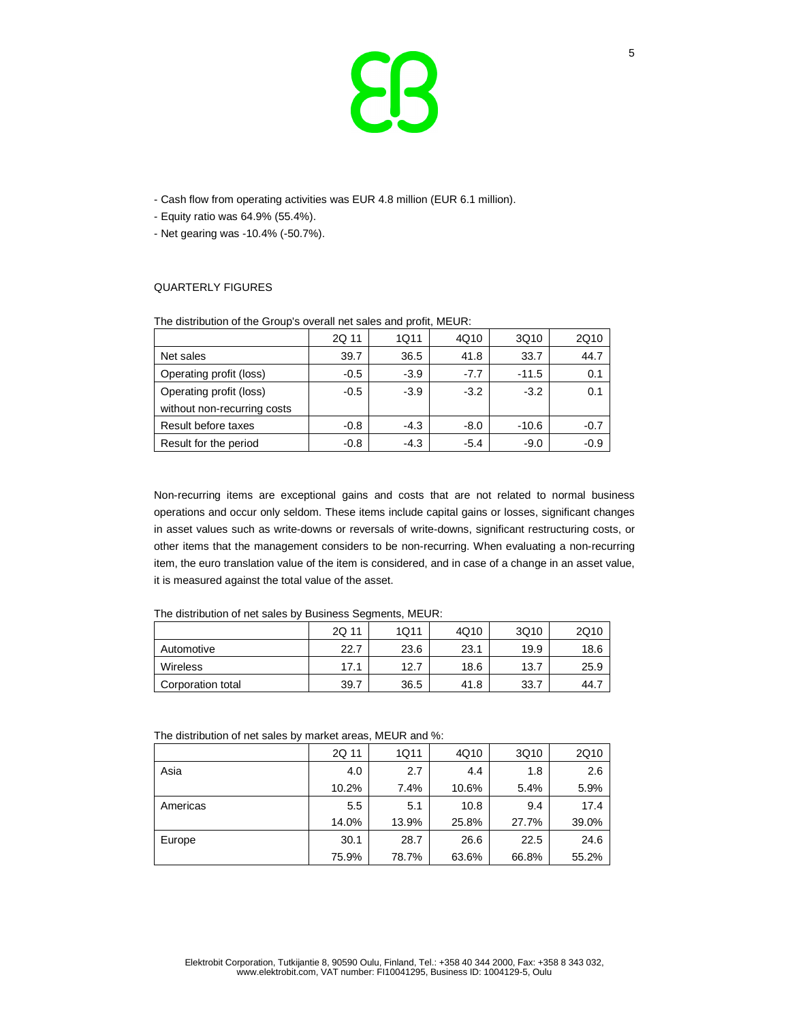

- Cash flow from operating activities was EUR 4.8 million (EUR 6.1 million).
- Equity ratio was 64.9% (55.4%).
- Net gearing was -10.4% (-50.7%).

## QUARTERLY FIGURES

| <b>The diding the office of the complete state of the profit, the offic</b> |        |        |        |         |        |
|-----------------------------------------------------------------------------|--------|--------|--------|---------|--------|
|                                                                             | 2Q 11  | 1Q11   | 4Q10   | 3Q10    | 2Q10   |
| Net sales                                                                   | 39.7   | 36.5   | 41.8   | 33.7    | 44.7   |
| Operating profit (loss)                                                     | $-0.5$ | $-3.9$ | $-7.7$ | $-11.5$ | 0.1    |
| Operating profit (loss)                                                     | $-0.5$ | $-3.9$ | $-3.2$ | $-3.2$  | 0.1    |
| without non-recurring costs                                                 |        |        |        |         |        |
| Result before taxes                                                         | $-0.8$ | $-4.3$ | $-8.0$ | $-10.6$ | $-0.7$ |
| Result for the period                                                       | $-0.8$ | $-4.3$ | $-5.4$ | $-9.0$  | $-0.9$ |

The distribution of the Group's overall net sales and profit, MEUR:

Non-recurring items are exceptional gains and costs that are not related to normal business operations and occur only seldom. These items include capital gains or losses, significant changes in asset values such as write-downs or reversals of write-downs, significant restructuring costs, or other items that the management considers to be non-recurring. When evaluating a non-recurring item, the euro translation value of the item is considered, and in case of a change in an asset value, it is measured against the total value of the asset.

|                   | 2Q 11 | 1Q11 | 4Q10 | 3Q10 | 2Q10  |
|-------------------|-------|------|------|------|-------|
| Automotive        | 22.7  | 23.6 | 23.1 | 19.9 | 18.6  |
| <b>Wireless</b>   | 17.1  | 12.7 | 18.6 | 13.7 | 25.9  |
| Corporation total | 39.7  | 36.5 | 41.8 | 33.7 | 44. . |

The distribution of net sales by market areas, MEUR and %:

|          | 2Q 11 | 1Q11  | 4Q10  | 3Q10  | 2Q10  |
|----------|-------|-------|-------|-------|-------|
| Asia     | 4.0   | 2.7   | 4.4   | 1.8   | 2.6   |
|          | 10.2% | 7.4%  | 10.6% | 5.4%  | 5.9%  |
| Americas | 5.5   | 5.1   | 10.8  | 9.4   | 17.4  |
|          | 14.0% | 13.9% | 25.8% | 27.7% | 39.0% |
| Europe   | 30.1  | 28.7  | 26.6  | 22.5  | 24.6  |
|          | 75.9% | 78.7% | 63.6% | 66.8% | 55.2% |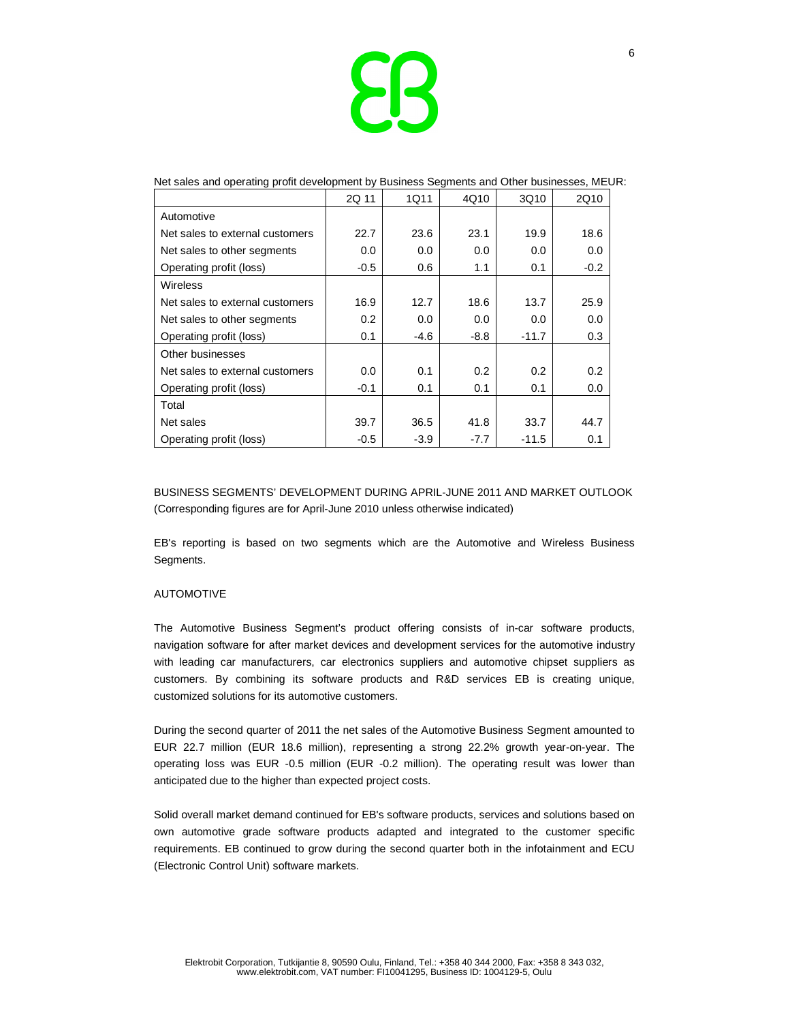

|                                 | 2Q 11  | 1Q11   | 4Q10   | 3Q10    | 2Q10   |
|---------------------------------|--------|--------|--------|---------|--------|
| Automotive                      |        |        |        |         |        |
| Net sales to external customers | 22.7   | 23.6   | 23.1   | 19.9    | 18.6   |
| Net sales to other segments     | 0.0    | 0.0    | 0.0    | 0.0     | 0.0    |
| Operating profit (loss)         | $-0.5$ | 0.6    | 1.1    | 0.1     | $-0.2$ |
| Wireless                        |        |        |        |         |        |
| Net sales to external customers | 16.9   | 12.7   | 18.6   | 13.7    | 25.9   |
| Net sales to other segments     | 0.2    | 0.0    | 0.0    | 0.0     | 0.0    |
| Operating profit (loss)         | 0.1    | $-4.6$ | $-8.8$ | $-11.7$ | 0.3    |
| Other businesses                |        |        |        |         |        |
| Net sales to external customers | 0.0    | 0.1    | 0.2    | 0.2     | 0.2    |
| Operating profit (loss)         | $-0.1$ | 0.1    | 0.1    | 0.1     | 0.0    |
| Total                           |        |        |        |         |        |
| Net sales                       | 39.7   | 36.5   | 41.8   | 33.7    | 44.7   |
| Operating profit (loss)         | $-0.5$ | $-3.9$ | $-7.7$ | $-11.5$ | 0.1    |

#### Net sales and operating profit development by Business Segments and Other businesses, MEUR:

BUSINESS SEGMENTS' DEVELOPMENT DURING APRIL-JUNE 2011 AND MARKET OUTLOOK (Corresponding figures are for April-June 2010 unless otherwise indicated)

EB's reporting is based on two segments which are the Automotive and Wireless Business Segments.

#### AUTOMOTIVE

The Automotive Business Segment's product offering consists of in-car software products, navigation software for after market devices and development services for the automotive industry with leading car manufacturers, car electronics suppliers and automotive chipset suppliers as customers. By combining its software products and R&D services EB is creating unique, customized solutions for its automotive customers.

During the second quarter of 2011 the net sales of the Automotive Business Segment amounted to EUR 22.7 million (EUR 18.6 million), representing a strong 22.2% growth year-on-year. The operating loss was EUR -0.5 million (EUR -0.2 million). The operating result was lower than anticipated due to the higher than expected project costs.

Solid overall market demand continued for EB's software products, services and solutions based on own automotive grade software products adapted and integrated to the customer specific requirements. EB continued to grow during the second quarter both in the infotainment and ECU (Electronic Control Unit) software markets.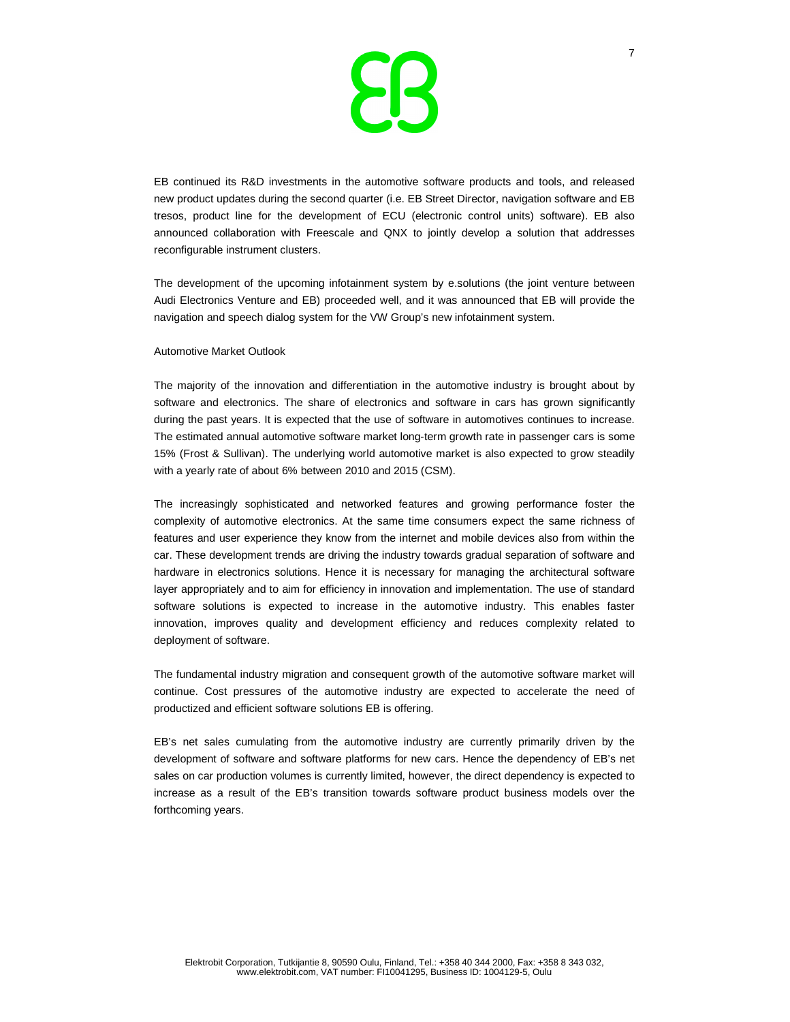

EB continued its R&D investments in the automotive software products and tools, and released new product updates during the second quarter (i.e. EB Street Director, navigation software and EB tresos, product line for the development of ECU (electronic control units) software). EB also announced collaboration with Freescale and QNX to jointly develop a solution that addresses reconfigurable instrument clusters.

The development of the upcoming infotainment system by e.solutions (the joint venture between Audi Electronics Venture and EB) proceeded well, and it was announced that EB will provide the navigation and speech dialog system for the VW Group's new infotainment system.

#### Automotive Market Outlook

The majority of the innovation and differentiation in the automotive industry is brought about by software and electronics. The share of electronics and software in cars has grown significantly during the past years. It is expected that the use of software in automotives continues to increase. The estimated annual automotive software market long-term growth rate in passenger cars is some 15% (Frost & Sullivan). The underlying world automotive market is also expected to grow steadily with a yearly rate of about 6% between 2010 and 2015 (CSM).

The increasingly sophisticated and networked features and growing performance foster the complexity of automotive electronics. At the same time consumers expect the same richness of features and user experience they know from the internet and mobile devices also from within the car. These development trends are driving the industry towards gradual separation of software and hardware in electronics solutions. Hence it is necessary for managing the architectural software layer appropriately and to aim for efficiency in innovation and implementation. The use of standard software solutions is expected to increase in the automotive industry. This enables faster innovation, improves quality and development efficiency and reduces complexity related to deployment of software.

The fundamental industry migration and consequent growth of the automotive software market will continue. Cost pressures of the automotive industry are expected to accelerate the need of productized and efficient software solutions EB is offering.

EB's net sales cumulating from the automotive industry are currently primarily driven by the development of software and software platforms for new cars. Hence the dependency of EB's net sales on car production volumes is currently limited, however, the direct dependency is expected to increase as a result of the EB's transition towards software product business models over the forthcoming years.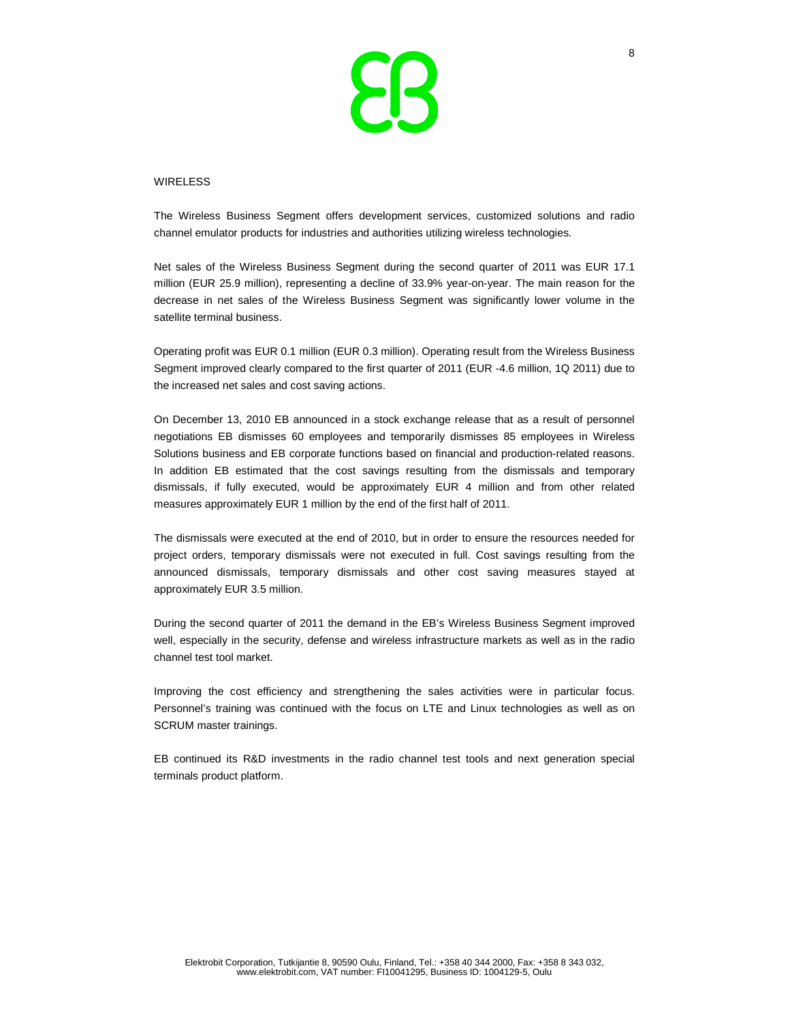

#### WIRELESS

The Wireless Business Segment offers development services, customized solutions and radio channel emulator products for industries and authorities utilizing wireless technologies.

Net sales of the Wireless Business Segment during the second quarter of 2011 was EUR 17.1 million (EUR 25.9 million), representing a decline of 33.9% year-on-year. The main reason for the decrease in net sales of the Wireless Business Segment was significantly lower volume in the satellite terminal business.

Operating profit was EUR 0.1 million (EUR 0.3 million). Operating result from the Wireless Business Segment improved clearly compared to the first quarter of 2011 (EUR -4.6 million, 1Q 2011) due to the increased net sales and cost saving actions.

On December 13, 2010 EB announced in a stock exchange release that as a result of personnel negotiations EB dismisses 60 employees and temporarily dismisses 85 employees in Wireless Solutions business and EB corporate functions based on financial and production-related reasons. In addition EB estimated that the cost savings resulting from the dismissals and temporary dismissals, if fully executed, would be approximately EUR 4 million and from other related measures approximately EUR 1 million by the end of the first half of 2011.

The dismissals were executed at the end of 2010, but in order to ensure the resources needed for project orders, temporary dismissals were not executed in full. Cost savings resulting from the announced dismissals, temporary dismissals and other cost saving measures stayed at approximately EUR 3.5 million.

During the second quarter of 2011 the demand in the EB's Wireless Business Segment improved well, especially in the security, defense and wireless infrastructure markets as well as in the radio channel test tool market.

Improving the cost efficiency and strengthening the sales activities were in particular focus. Personnel's training was continued with the focus on LTE and Linux technologies as well as on SCRUM master trainings.

EB continued its R&D investments in the radio channel test tools and next generation special terminals product platform.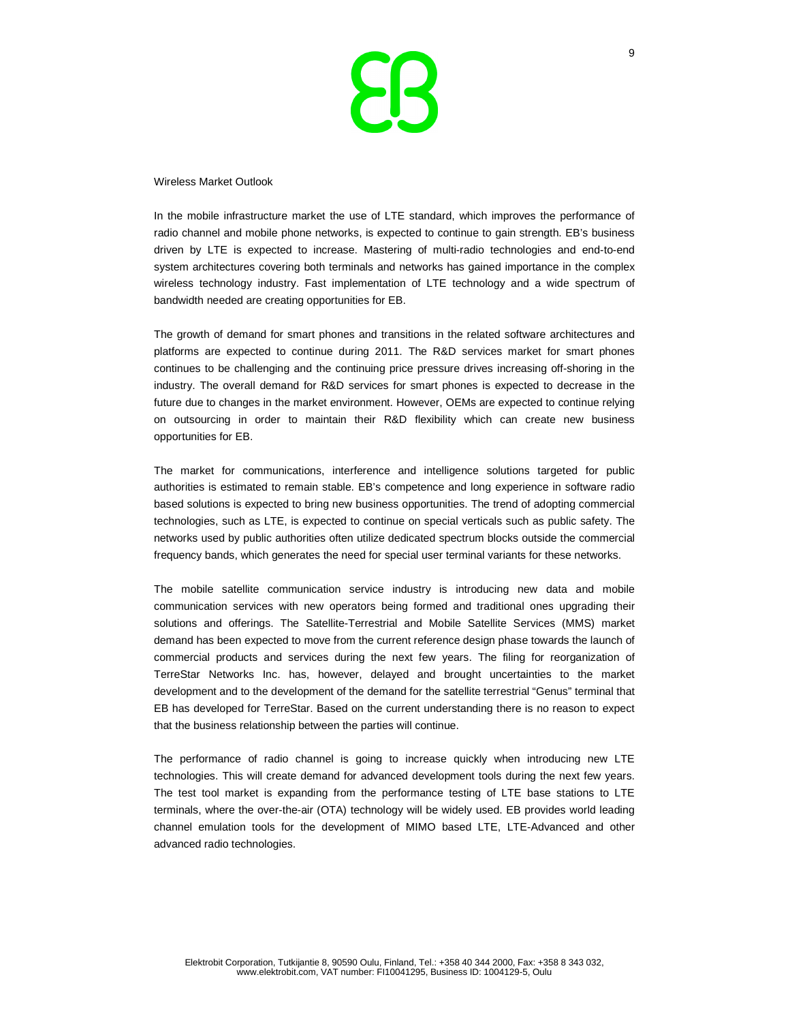

Wireless Market Outlook

In the mobile infrastructure market the use of LTE standard, which improves the performance of radio channel and mobile phone networks, is expected to continue to gain strength. EB's business driven by LTE is expected to increase. Mastering of multi-radio technologies and end-to-end system architectures covering both terminals and networks has gained importance in the complex wireless technology industry. Fast implementation of LTE technology and a wide spectrum of bandwidth needed are creating opportunities for EB.

The growth of demand for smart phones and transitions in the related software architectures and platforms are expected to continue during 2011. The R&D services market for smart phones continues to be challenging and the continuing price pressure drives increasing off-shoring in the industry. The overall demand for R&D services for smart phones is expected to decrease in the future due to changes in the market environment. However, OEMs are expected to continue relying on outsourcing in order to maintain their R&D flexibility which can create new business opportunities for EB.

The market for communications, interference and intelligence solutions targeted for public authorities is estimated to remain stable. EB's competence and long experience in software radio based solutions is expected to bring new business opportunities. The trend of adopting commercial technologies, such as LTE, is expected to continue on special verticals such as public safety. The networks used by public authorities often utilize dedicated spectrum blocks outside the commercial frequency bands, which generates the need for special user terminal variants for these networks.

The mobile satellite communication service industry is introducing new data and mobile communication services with new operators being formed and traditional ones upgrading their solutions and offerings. The Satellite-Terrestrial and Mobile Satellite Services (MMS) market demand has been expected to move from the current reference design phase towards the launch of commercial products and services during the next few years. The filing for reorganization of TerreStar Networks Inc. has, however, delayed and brought uncertainties to the market development and to the development of the demand for the satellite terrestrial "Genus" terminal that EB has developed for TerreStar. Based on the current understanding there is no reason to expect that the business relationship between the parties will continue.

The performance of radio channel is going to increase quickly when introducing new LTE technologies. This will create demand for advanced development tools during the next few years. The test tool market is expanding from the performance testing of LTE base stations to LTE terminals, where the over-the-air (OTA) technology will be widely used. EB provides world leading channel emulation tools for the development of MIMO based LTE, LTE-Advanced and other advanced radio technologies.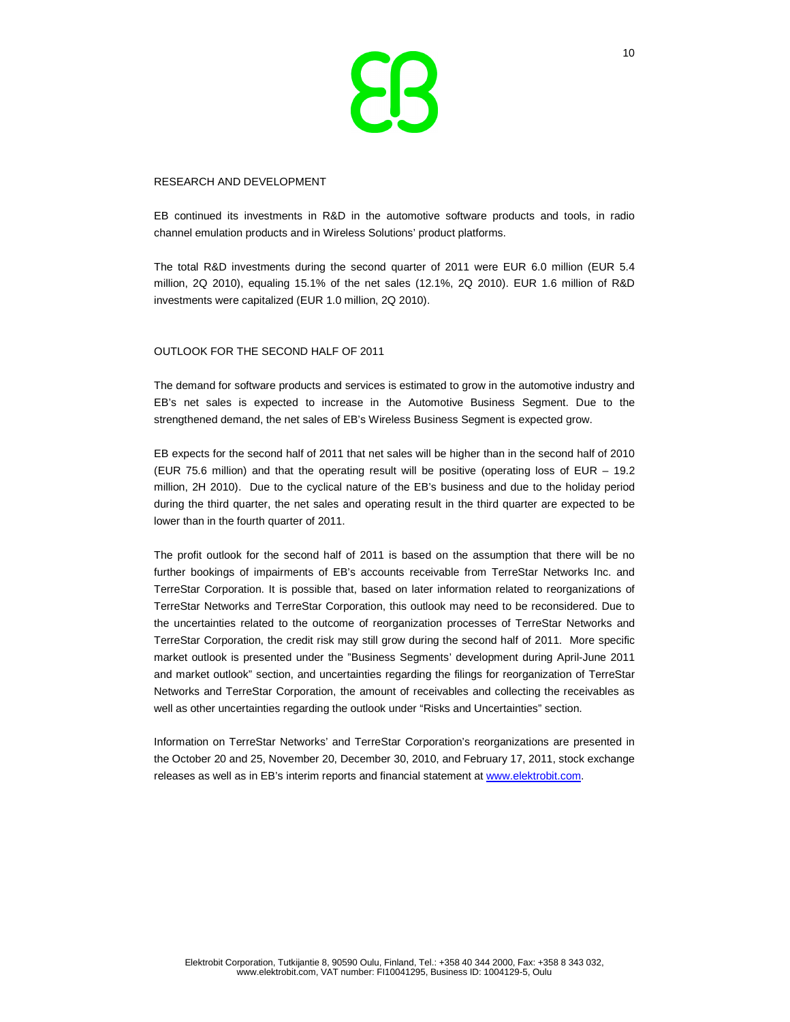

#### RESEARCH AND DEVELOPMENT

EB continued its investments in R&D in the automotive software products and tools, in radio channel emulation products and in Wireless Solutions' product platforms.

The total R&D investments during the second quarter of 2011 were EUR 6.0 million (EUR 5.4 million, 2Q 2010), equaling 15.1% of the net sales (12.1%, 2Q 2010). EUR 1.6 million of R&D investments were capitalized (EUR 1.0 million, 2Q 2010).

### OUTLOOK FOR THE SECOND HALF OF 2011

The demand for software products and services is estimated to grow in the automotive industry and EB's net sales is expected to increase in the Automotive Business Segment. Due to the strengthened demand, the net sales of EB's Wireless Business Segment is expected grow.

EB expects for the second half of 2011 that net sales will be higher than in the second half of 2010 (EUR 75.6 million) and that the operating result will be positive (operating loss of EUR – 19.2 million, 2H 2010). Due to the cyclical nature of the EB's business and due to the holiday period during the third quarter, the net sales and operating result in the third quarter are expected to be lower than in the fourth quarter of 2011.

The profit outlook for the second half of 2011 is based on the assumption that there will be no further bookings of impairments of EB's accounts receivable from TerreStar Networks Inc. and TerreStar Corporation. It is possible that, based on later information related to reorganizations of TerreStar Networks and TerreStar Corporation, this outlook may need to be reconsidered. Due to the uncertainties related to the outcome of reorganization processes of TerreStar Networks and TerreStar Corporation, the credit risk may still grow during the second half of 2011. More specific market outlook is presented under the "Business Segments' development during April-June 2011 and market outlook" section, and uncertainties regarding the filings for reorganization of TerreStar Networks and TerreStar Corporation, the amount of receivables and collecting the receivables as well as other uncertainties regarding the outlook under "Risks and Uncertainties" section.

Information on TerreStar Networks' and TerreStar Corporation's reorganizations are presented in the October 20 and 25, November 20, December 30, 2010, and February 17, 2011, stock exchange releases as well as in EB's interim reports and financial statement at www.elektrobit.com.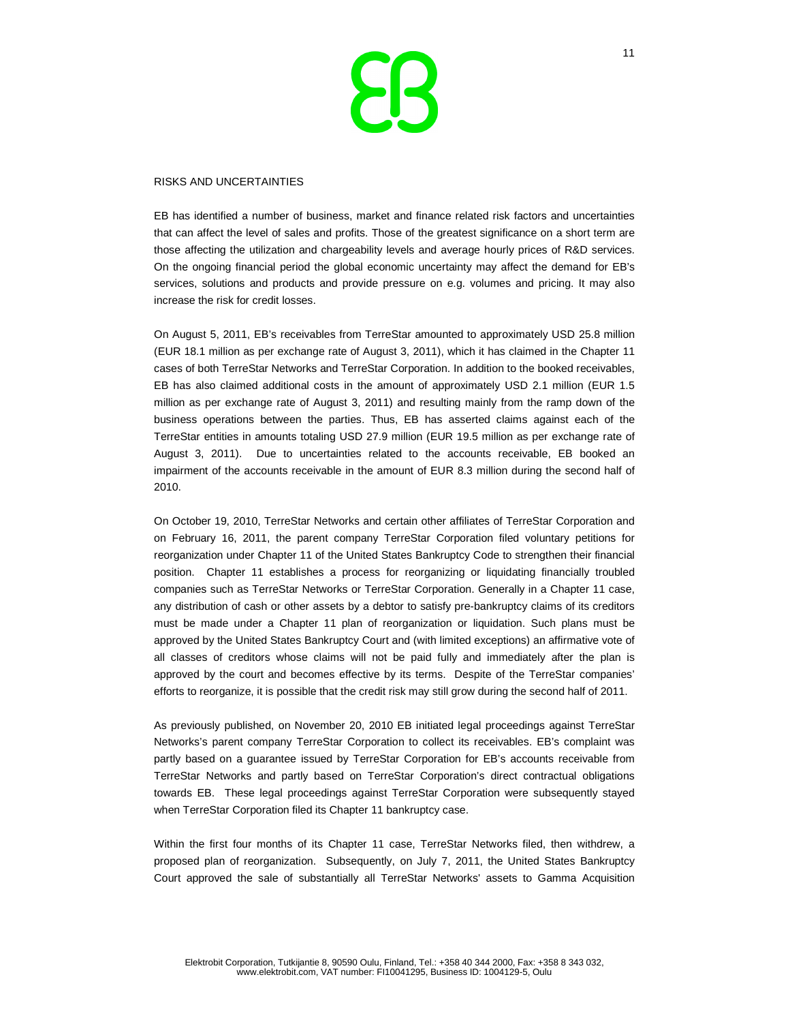

### RISKS AND UNCERTAINTIES

EB has identified a number of business, market and finance related risk factors and uncertainties that can affect the level of sales and profits. Those of the greatest significance on a short term are those affecting the utilization and chargeability levels and average hourly prices of R&D services. On the ongoing financial period the global economic uncertainty may affect the demand for EB's services, solutions and products and provide pressure on e.g. volumes and pricing. It may also increase the risk for credit losses.

On August 5, 2011, EB's receivables from TerreStar amounted to approximately USD 25.8 million (EUR 18.1 million as per exchange rate of August 3, 2011), which it has claimed in the Chapter 11 cases of both TerreStar Networks and TerreStar Corporation. In addition to the booked receivables, EB has also claimed additional costs in the amount of approximately USD 2.1 million (EUR 1.5 million as per exchange rate of August 3, 2011) and resulting mainly from the ramp down of the business operations between the parties. Thus, EB has asserted claims against each of the TerreStar entities in amounts totaling USD 27.9 million (EUR 19.5 million as per exchange rate of August 3, 2011). Due to uncertainties related to the accounts receivable, EB booked an impairment of the accounts receivable in the amount of EUR 8.3 million during the second half of 2010.

On October 19, 2010, TerreStar Networks and certain other affiliates of TerreStar Corporation and on February 16, 2011, the parent company TerreStar Corporation filed voluntary petitions for reorganization under Chapter 11 of the United States Bankruptcy Code to strengthen their financial position. Chapter 11 establishes a process for reorganizing or liquidating financially troubled companies such as TerreStar Networks or TerreStar Corporation. Generally in a Chapter 11 case, any distribution of cash or other assets by a debtor to satisfy pre-bankruptcy claims of its creditors must be made under a Chapter 11 plan of reorganization or liquidation. Such plans must be approved by the United States Bankruptcy Court and (with limited exceptions) an affirmative vote of all classes of creditors whose claims will not be paid fully and immediately after the plan is approved by the court and becomes effective by its terms. Despite of the TerreStar companies' efforts to reorganize, it is possible that the credit risk may still grow during the second half of 2011.

As previously published, on November 20, 2010 EB initiated legal proceedings against TerreStar Networks's parent company TerreStar Corporation to collect its receivables. EB's complaint was partly based on a guarantee issued by TerreStar Corporation for EB's accounts receivable from TerreStar Networks and partly based on TerreStar Corporation's direct contractual obligations towards EB. These legal proceedings against TerreStar Corporation were subsequently stayed when TerreStar Corporation filed its Chapter 11 bankruptcy case.

Within the first four months of its Chapter 11 case, TerreStar Networks filed, then withdrew, a proposed plan of reorganization. Subsequently, on July 7, 2011, the United States Bankruptcy Court approved the sale of substantially all TerreStar Networks' assets to Gamma Acquisition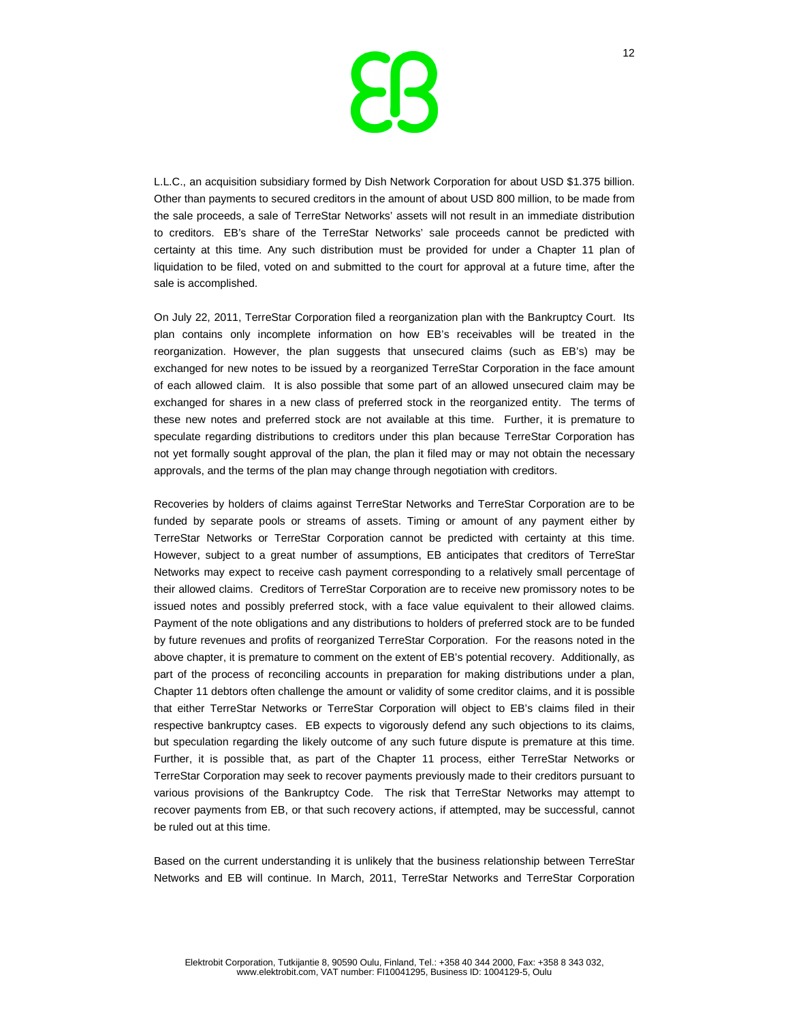

L.L.C., an acquisition subsidiary formed by Dish Network Corporation for about USD \$1.375 billion. Other than payments to secured creditors in the amount of about USD 800 million, to be made from the sale proceeds, a sale of TerreStar Networks' assets will not result in an immediate distribution to creditors. EB's share of the TerreStar Networks' sale proceeds cannot be predicted with certainty at this time. Any such distribution must be provided for under a Chapter 11 plan of liquidation to be filed, voted on and submitted to the court for approval at a future time, after the sale is accomplished.

On July 22, 2011, TerreStar Corporation filed a reorganization plan with the Bankruptcy Court. Its plan contains only incomplete information on how EB's receivables will be treated in the reorganization. However, the plan suggests that unsecured claims (such as EB's) may be exchanged for new notes to be issued by a reorganized TerreStar Corporation in the face amount of each allowed claim. It is also possible that some part of an allowed unsecured claim may be exchanged for shares in a new class of preferred stock in the reorganized entity. The terms of these new notes and preferred stock are not available at this time. Further, it is premature to speculate regarding distributions to creditors under this plan because TerreStar Corporation has not yet formally sought approval of the plan, the plan it filed may or may not obtain the necessary approvals, and the terms of the plan may change through negotiation with creditors.

Recoveries by holders of claims against TerreStar Networks and TerreStar Corporation are to be funded by separate pools or streams of assets. Timing or amount of any payment either by TerreStar Networks or TerreStar Corporation cannot be predicted with certainty at this time. However, subject to a great number of assumptions, EB anticipates that creditors of TerreStar Networks may expect to receive cash payment corresponding to a relatively small percentage of their allowed claims. Creditors of TerreStar Corporation are to receive new promissory notes to be issued notes and possibly preferred stock, with a face value equivalent to their allowed claims. Payment of the note obligations and any distributions to holders of preferred stock are to be funded by future revenues and profits of reorganized TerreStar Corporation. For the reasons noted in the above chapter, it is premature to comment on the extent of EB's potential recovery. Additionally, as part of the process of reconciling accounts in preparation for making distributions under a plan, Chapter 11 debtors often challenge the amount or validity of some creditor claims, and it is possible that either TerreStar Networks or TerreStar Corporation will object to EB's claims filed in their respective bankruptcy cases. EB expects to vigorously defend any such objections to its claims, but speculation regarding the likely outcome of any such future dispute is premature at this time. Further, it is possible that, as part of the Chapter 11 process, either TerreStar Networks or TerreStar Corporation may seek to recover payments previously made to their creditors pursuant to various provisions of the Bankruptcy Code. The risk that TerreStar Networks may attempt to recover payments from EB, or that such recovery actions, if attempted, may be successful, cannot be ruled out at this time.

Based on the current understanding it is unlikely that the business relationship between TerreStar Networks and EB will continue. In March, 2011, TerreStar Networks and TerreStar Corporation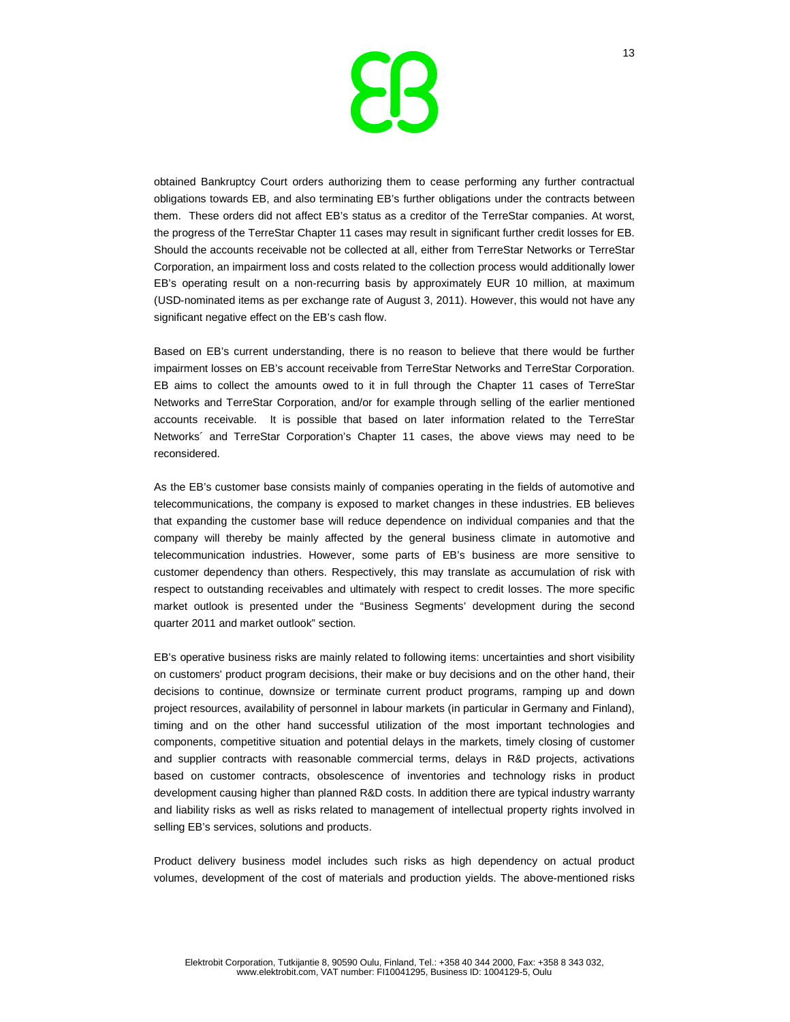

obtained Bankruptcy Court orders authorizing them to cease performing any further contractual obligations towards EB, and also terminating EB's further obligations under the contracts between them. These orders did not affect EB's status as a creditor of the TerreStar companies. At worst, the progress of the TerreStar Chapter 11 cases may result in significant further credit losses for EB. Should the accounts receivable not be collected at all, either from TerreStar Networks or TerreStar Corporation, an impairment loss and costs related to the collection process would additionally lower EB's operating result on a non-recurring basis by approximately EUR 10 million, at maximum (USD-nominated items as per exchange rate of August 3, 2011). However, this would not have any significant negative effect on the EB's cash flow.

Based on EB's current understanding, there is no reason to believe that there would be further impairment losses on EB's account receivable from TerreStar Networks and TerreStar Corporation. EB aims to collect the amounts owed to it in full through the Chapter 11 cases of TerreStar Networks and TerreStar Corporation, and/or for example through selling of the earlier mentioned accounts receivable. It is possible that based on later information related to the TerreStar Networks´ and TerreStar Corporation's Chapter 11 cases, the above views may need to be reconsidered.

As the EB's customer base consists mainly of companies operating in the fields of automotive and telecommunications, the company is exposed to market changes in these industries. EB believes that expanding the customer base will reduce dependence on individual companies and that the company will thereby be mainly affected by the general business climate in automotive and telecommunication industries. However, some parts of EB's business are more sensitive to customer dependency than others. Respectively, this may translate as accumulation of risk with respect to outstanding receivables and ultimately with respect to credit losses. The more specific market outlook is presented under the "Business Segments' development during the second quarter 2011 and market outlook" section.

EB's operative business risks are mainly related to following items: uncertainties and short visibility on customers' product program decisions, their make or buy decisions and on the other hand, their decisions to continue, downsize or terminate current product programs, ramping up and down project resources, availability of personnel in labour markets (in particular in Germany and Finland), timing and on the other hand successful utilization of the most important technologies and components, competitive situation and potential delays in the markets, timely closing of customer and supplier contracts with reasonable commercial terms, delays in R&D projects, activations based on customer contracts, obsolescence of inventories and technology risks in product development causing higher than planned R&D costs. In addition there are typical industry warranty and liability risks as well as risks related to management of intellectual property rights involved in selling EB's services, solutions and products.

Product delivery business model includes such risks as high dependency on actual product volumes, development of the cost of materials and production yields. The above-mentioned risks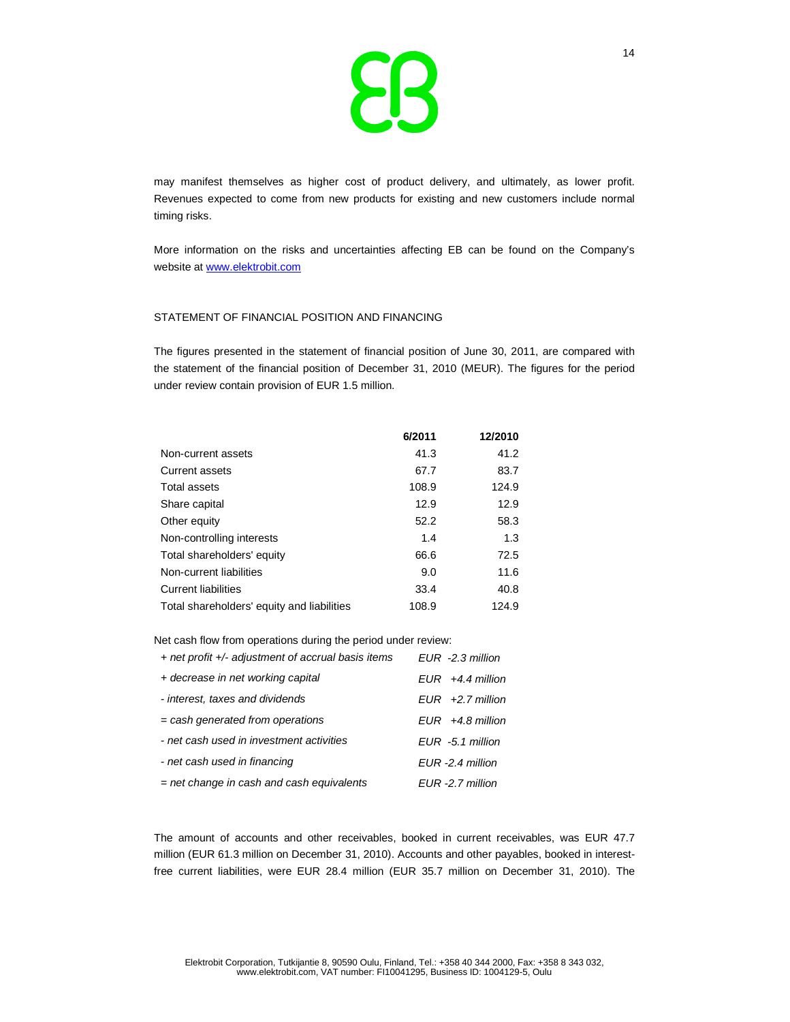

may manifest themselves as higher cost of product delivery, and ultimately, as lower profit. Revenues expected to come from new products for existing and new customers include normal timing risks.

More information on the risks and uncertainties affecting EB can be found on the Company's website at www.elektrobit.com

#### STATEMENT OF FINANCIAL POSITION AND FINANCING

The figures presented in the statement of financial position of June 30, 2011, are compared with the statement of the financial position of December 31, 2010 (MEUR). The figures for the period under review contain provision of EUR 1.5 million.

|                                            | 6/2011 | 12/2010 |
|--------------------------------------------|--------|---------|
| Non-current assets                         | 41.3   | 41.2    |
| Current assets                             | 67.7   | 83.7    |
| Total assets                               | 108.9  | 124.9   |
| Share capital                              | 12.9   | 12.9    |
| Other equity                               | 52.2   | 58.3    |
| Non-controlling interests                  | 1.4    | 1.3     |
| Total shareholders' equity                 | 66.6   | 72.5    |
| Non-current liabilities                    | 9.0    | 11.6    |
| <b>Current liabilities</b>                 | 33.4   | 40.8    |
| Total shareholders' equity and liabilities | 108.9  | 124.9   |

Net cash flow from operations during the period under review:

| + net profit +/- adjustment of accrual basis items | $FUR - 2.3$ million |
|----------------------------------------------------|---------------------|
| + decrease in net working capital                  | $EUR +4.4$ million  |
| - interest, taxes and dividends                    | $EUR +2.7$ million  |
| $=$ cash generated from operations                 | $EUR +4.8$ million  |
| - net cash used in investment activities           | $EUR - 5.1$ million |
| - net cash used in financing                       | EUR -2.4 million    |
| $=$ net change in cash and cash equivalents        | EUR -2.7 million    |
|                                                    |                     |

The amount of accounts and other receivables, booked in current receivables, was EUR 47.7 million (EUR 61.3 million on December 31, 2010). Accounts and other payables, booked in interestfree current liabilities, were EUR 28.4 million (EUR 35.7 million on December 31, 2010). The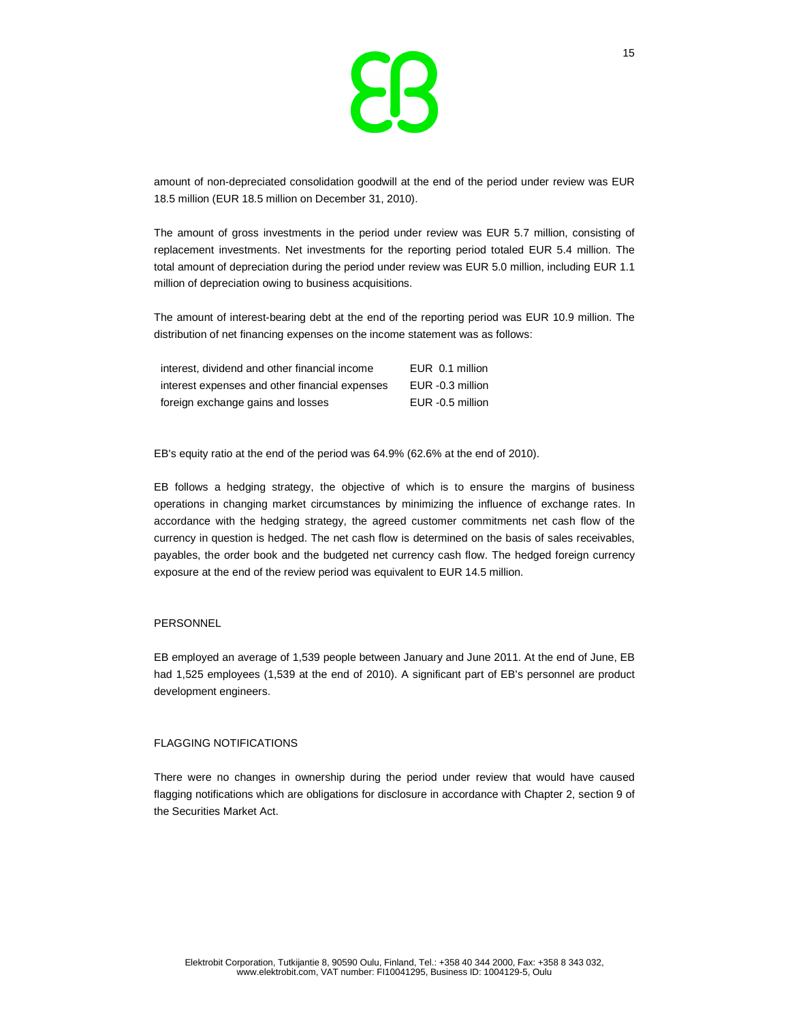

amount of non-depreciated consolidation goodwill at the end of the period under review was EUR 18.5 million (EUR 18.5 million on December 31, 2010).

The amount of gross investments in the period under review was EUR 5.7 million, consisting of replacement investments. Net investments for the reporting period totaled EUR 5.4 million. The total amount of depreciation during the period under review was EUR 5.0 million, including EUR 1.1 million of depreciation owing to business acquisitions.

The amount of interest-bearing debt at the end of the reporting period was EUR 10.9 million. The distribution of net financing expenses on the income statement was as follows:

| interest, dividend and other financial income  | EUR 0.1 million  |
|------------------------------------------------|------------------|
| interest expenses and other financial expenses | EUR -0.3 million |
| foreign exchange gains and losses              | EUR -0.5 million |

EB's equity ratio at the end of the period was 64.9% (62.6% at the end of 2010).

EB follows a hedging strategy, the objective of which is to ensure the margins of business operations in changing market circumstances by minimizing the influence of exchange rates. In accordance with the hedging strategy, the agreed customer commitments net cash flow of the currency in question is hedged. The net cash flow is determined on the basis of sales receivables, payables, the order book and the budgeted net currency cash flow. The hedged foreign currency exposure at the end of the review period was equivalent to EUR 14.5 million.

#### **PERSONNEL**

EB employed an average of 1,539 people between January and June 2011. At the end of June, EB had 1,525 employees (1,539 at the end of 2010). A significant part of EB's personnel are product development engineers.

#### FLAGGING NOTIFICATIONS

There were no changes in ownership during the period under review that would have caused flagging notifications which are obligations for disclosure in accordance with Chapter 2, section 9 of the Securities Market Act.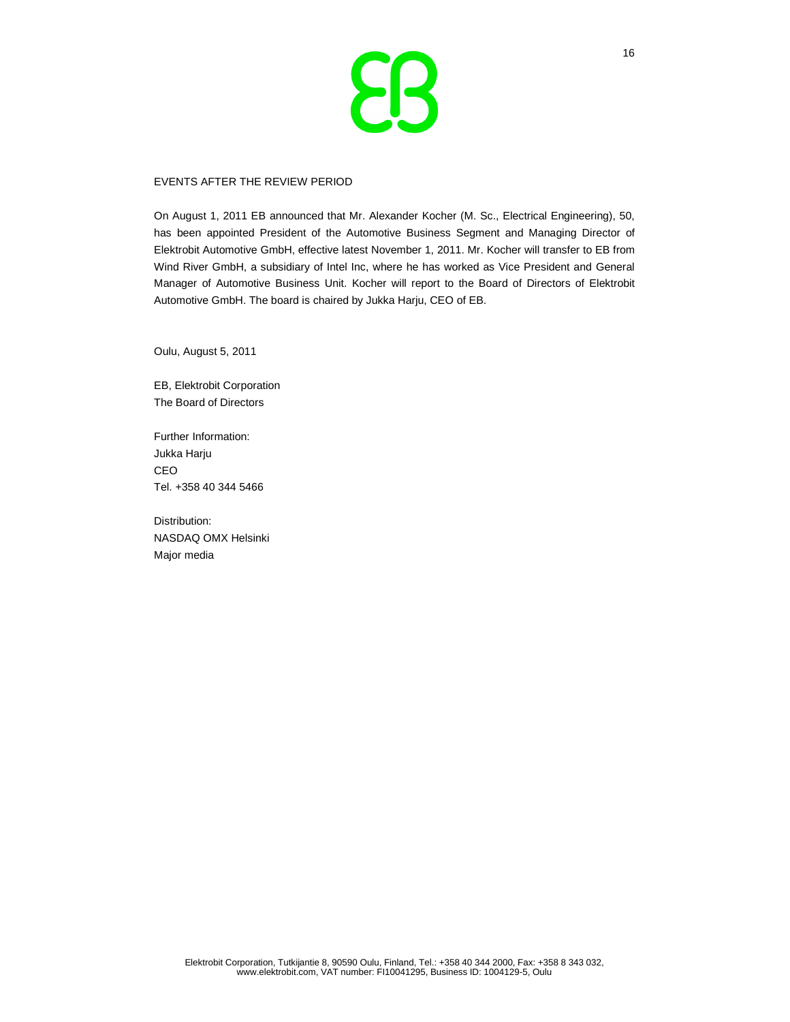

### EVENTS AFTER THE REVIEW PERIOD

On August 1, 2011 EB announced that Mr. Alexander Kocher (M. Sc., Electrical Engineering), 50, has been appointed President of the Automotive Business Segment and Managing Director of Elektrobit Automotive GmbH, effective latest November 1, 2011. Mr. Kocher will transfer to EB from Wind River GmbH, a subsidiary of Intel Inc, where he has worked as Vice President and General Manager of Automotive Business Unit. Kocher will report to the Board of Directors of Elektrobit Automotive GmbH. The board is chaired by Jukka Harju, CEO of EB.

Oulu, August 5, 2011

EB, Elektrobit Corporation The Board of Directors

Further Information: Jukka Harju CEO Tel. +358 40 344 5466

Distribution: NASDAQ OMX Helsinki Major media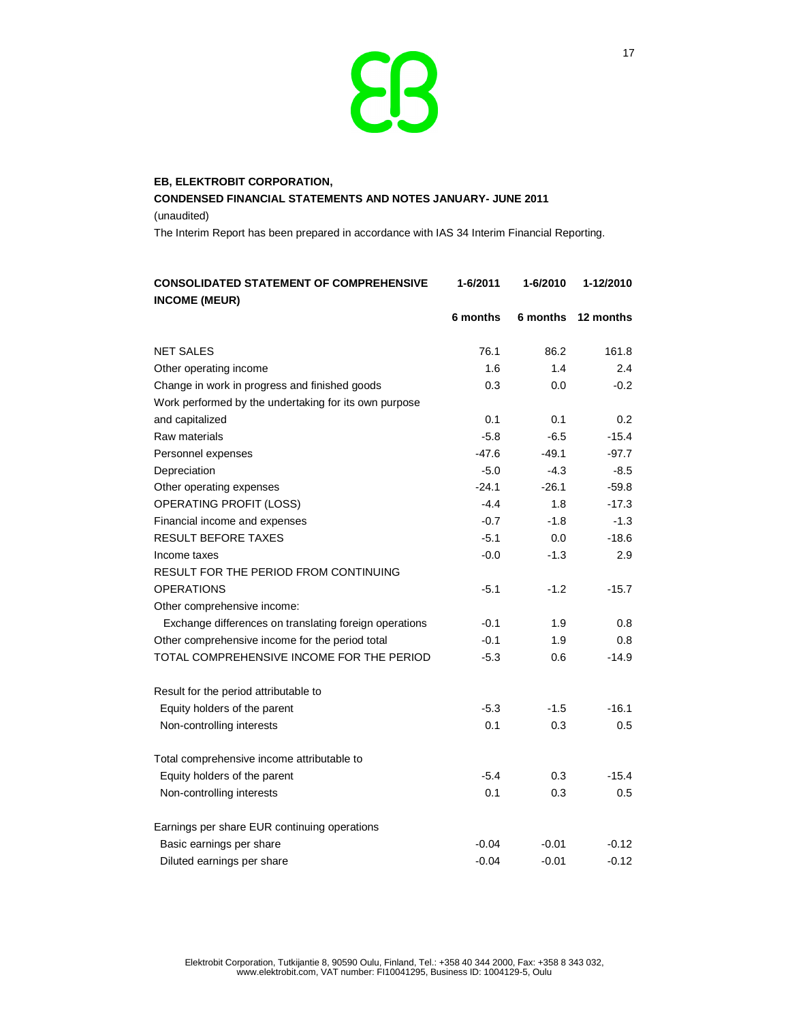

# **EB, ELEKTROBIT CORPORATION, CONDENSED FINANCIAL STATEMENTS AND NOTES JANUARY- JUNE 2011**  (unaudited)

The Interim Report has been prepared in accordance with IAS 34 Interim Financial Reporting.

| <b>CONSOLIDATED STATEMENT OF COMPREHENSIVE</b>         | 1-6/2011 | 1-6/2010 | 1-12/2010 |
|--------------------------------------------------------|----------|----------|-----------|
| <b>INCOME (MEUR)</b>                                   |          |          |           |
|                                                        | 6 months | 6 months | 12 months |
| <b>NET SALES</b>                                       | 76.1     | 86.2     | 161.8     |
| Other operating income                                 | 1.6      | 1.4      | 2.4       |
| Change in work in progress and finished goods          | 0.3      | 0.0      | $-0.2$    |
| Work performed by the undertaking for its own purpose  |          |          |           |
| and capitalized                                        | 0.1      | 0.1      | 0.2       |
| Raw materials                                          | $-5.8$   | $-6.5$   | $-15.4$   |
| Personnel expenses                                     | $-47.6$  | $-49.1$  | $-97.7$   |
| Depreciation                                           | $-5.0$   | $-4.3$   | $-8.5$    |
| Other operating expenses                               | $-24.1$  | $-26.1$  | $-59.8$   |
| OPERATING PROFIT (LOSS)                                | $-4.4$   | 1.8      | $-17.3$   |
| Financial income and expenses                          | $-0.7$   | $-1.8$   | $-1.3$    |
| <b>RESULT BEFORE TAXES</b>                             | $-5.1$   | 0.0      | $-18.6$   |
| Income taxes                                           | $-0.0$   | $-1.3$   | 2.9       |
| RESULT FOR THE PERIOD FROM CONTINUING                  |          |          |           |
| <b>OPERATIONS</b>                                      | $-5.1$   | $-1.2$   | $-15.7$   |
| Other comprehensive income:                            |          |          |           |
| Exchange differences on translating foreign operations | $-0.1$   | 1.9      | 0.8       |
| Other comprehensive income for the period total        | $-0.1$   | 1.9      | 0.8       |
| TOTAL COMPREHENSIVE INCOME FOR THE PERIOD              | $-5.3$   | 0.6      | $-14.9$   |
| Result for the period attributable to                  |          |          |           |
| Equity holders of the parent                           | $-5.3$   | $-1.5$   | $-16.1$   |
| Non-controlling interests                              | 0.1      | 0.3      | 0.5       |
| Total comprehensive income attributable to             |          |          |           |
| Equity holders of the parent                           | $-5.4$   | 0.3      | $-15.4$   |
| Non-controlling interests                              | 0.1      | 0.3      | 0.5       |
| Earnings per share EUR continuing operations           |          |          |           |
| Basic earnings per share                               | $-0.04$  | $-0.01$  | $-0.12$   |
| Diluted earnings per share                             | $-0.04$  | $-0.01$  | $-0.12$   |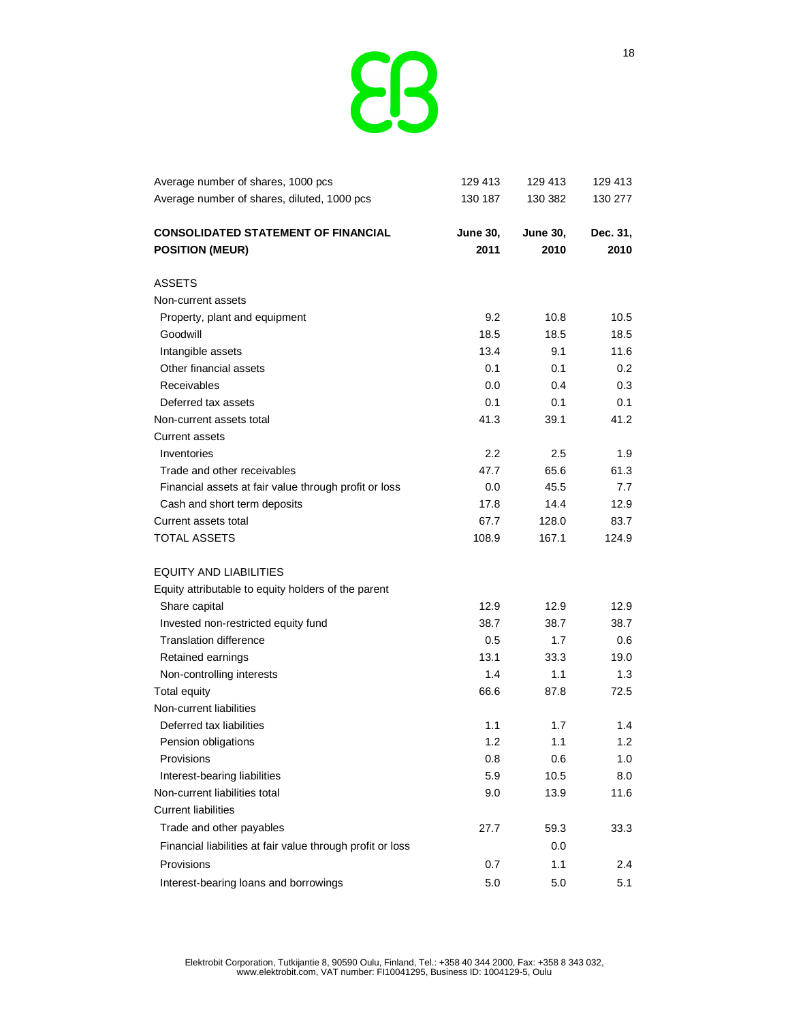

| Average number of shares, 1000 pcs                         | 129 413          | 129 413         | 129 413  |
|------------------------------------------------------------|------------------|-----------------|----------|
| Average number of shares, diluted, 1000 pcs                | 130 187          | 130 382         | 130 277  |
| <b>CONSOLIDATED STATEMENT OF FINANCIAL</b>                 | <b>June 30,</b>  | <b>June 30,</b> | Dec. 31, |
| <b>POSITION (MEUR)</b>                                     | 2011             | 2010            | 2010     |
| ASSETS                                                     |                  |                 |          |
| Non-current assets                                         |                  |                 |          |
| Property, plant and equipment                              | 9.2              | 10.8            | 10.5     |
| Goodwill                                                   | 18.5             | 18.5            | 18.5     |
| Intangible assets                                          | 13.4             | 9.1             | 11.6     |
| Other financial assets                                     | 0.1              | 0.1             | 0.2      |
| Receivables                                                | 0.0              | 0.4             | 0.3      |
| Deferred tax assets                                        | 0.1              | 0.1             | 0.1      |
| Non-current assets total                                   | 41.3             | 39.1            | 41.2     |
| <b>Current assets</b>                                      |                  |                 |          |
| Inventories                                                | $2.2\phantom{0}$ | 2.5             | 1.9      |
| Trade and other receivables                                | 47.7             | 65.6            | 61.3     |
| Financial assets at fair value through profit or loss      | 0.0              | 45.5            | 7.7      |
| Cash and short term deposits                               | 17.8             | 14.4            | 12.9     |
| Current assets total                                       | 67.7             | 128.0           | 83.7     |
| <b>TOTAL ASSETS</b>                                        | 108.9            | 167.1           | 124.9    |
| EQUITY AND LIABILITIES                                     |                  |                 |          |
| Equity attributable to equity holders of the parent        |                  |                 |          |
| Share capital                                              | 12.9             | 12.9            | 12.9     |
| Invested non-restricted equity fund                        | 38.7             | 38.7            | 38.7     |
| <b>Translation difference</b>                              | 0.5              | 1.7             | 0.6      |
| Retained earnings                                          | 13.1             | 33.3            | 19.0     |
| Non-controlling interests                                  | 1.4              | 1.1             | 1.3      |
| <b>Total equity</b>                                        | 66.6             | 87.8            | 72.5     |
| Non-current liabilities                                    |                  |                 |          |
| Deferred tax liabilities                                   | 1.1              | 1.7             | 1.4      |
| Pension obligations                                        | 1.2              | 1.1             | 1.2      |
| Provisions                                                 | 0.8              | 0.6             | 1.0      |
| Interest-bearing liabilities                               | 5.9              | 10.5            | 8.0      |
| Non-current liabilities total                              | 9.0              | 13.9            | 11.6     |
| <b>Current liabilities</b>                                 |                  |                 |          |
| Trade and other payables                                   | 27.7             | 59.3            | 33.3     |
| Financial liabilities at fair value through profit or loss |                  | 0.0             |          |
| Provisions                                                 | 0.7              | 1.1             | 2.4      |
| Interest-bearing loans and borrowings                      | 5.0              | 5.0             | 5.1      |
|                                                            |                  |                 |          |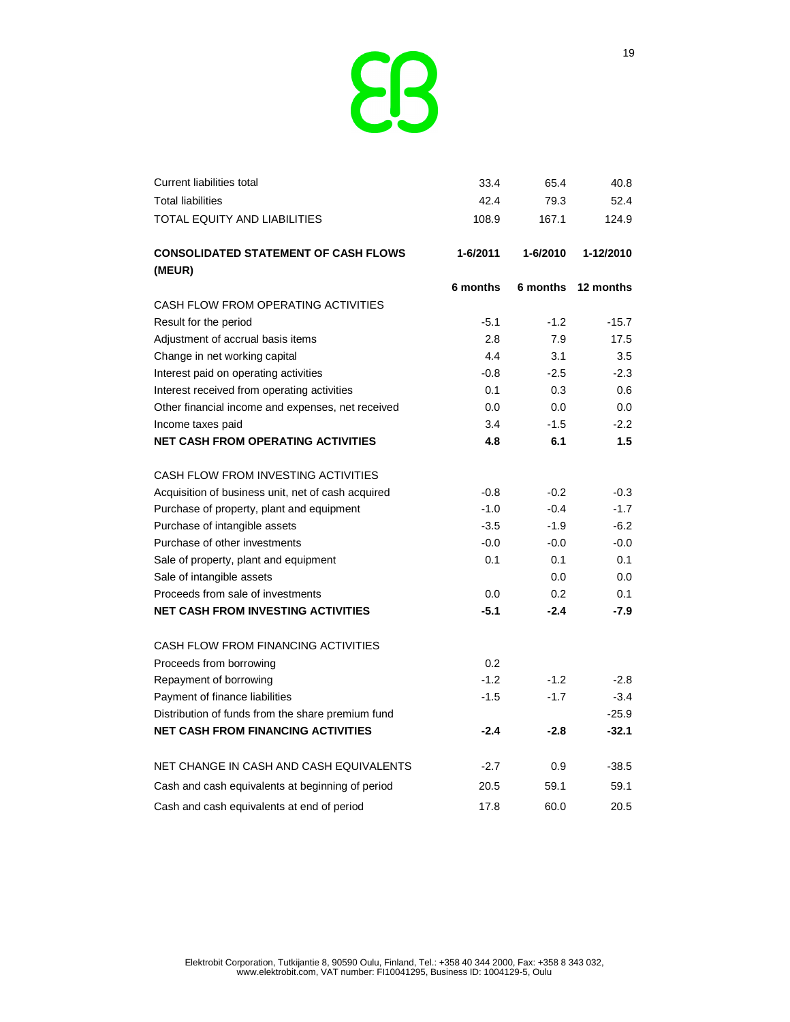

| <b>Current liabilities total</b>                   | 33.4     | 65.4     | 40.8      |
|----------------------------------------------------|----------|----------|-----------|
| <b>Total liabilities</b>                           | 42.4     | 79.3     | 52.4      |
| <b>TOTAL EQUITY AND LIABILITIES</b>                | 108.9    | 167.1    | 124.9     |
| <b>CONSOLIDATED STATEMENT OF CASH FLOWS</b>        | 1-6/2011 | 1-6/2010 | 1-12/2010 |
| (MEUR)                                             |          |          |           |
|                                                    | 6 months | 6 months | 12 months |
| CASH FLOW FROM OPERATING ACTIVITIES                |          |          |           |
| Result for the period                              | $-5.1$   | $-1.2$   | $-15.7$   |
| Adjustment of accrual basis items                  | 2.8      | 7.9      | 17.5      |
| Change in net working capital                      | 4.4      | 3.1      | 3.5       |
| Interest paid on operating activities              | $-0.8$   | $-2.5$   | $-2.3$    |
| Interest received from operating activities        | 0.1      | 0.3      | 0.6       |
| Other financial income and expenses, net received  | 0.0      | 0.0      | 0.0       |
| Income taxes paid                                  | 3.4      | $-1.5$   | $-2.2$    |
| <b>NET CASH FROM OPERATING ACTIVITIES</b>          | 4.8      | 6.1      | 1.5       |
| CASH FLOW FROM INVESTING ACTIVITIES                |          |          |           |
| Acquisition of business unit, net of cash acquired | $-0.8$   | $-0.2$   | $-0.3$    |
| Purchase of property, plant and equipment          | $-1.0$   | $-0.4$   | $-1.7$    |
| Purchase of intangible assets                      | $-3.5$   | $-1.9$   | $-6.2$    |
| Purchase of other investments                      | $-0.0$   | $-0.0$   | $-0.0$    |
| Sale of property, plant and equipment              | 0.1      | 0.1      | 0.1       |
| Sale of intangible assets                          |          | 0.0      | 0.0       |
| Proceeds from sale of investments                  | 0.0      | 0.2      | 0.1       |
| <b>NET CASH FROM INVESTING ACTIVITIES</b>          | $-5.1$   | $-2.4$   | $-7.9$    |
| CASH FLOW FROM FINANCING ACTIVITIES                |          |          |           |
| Proceeds from borrowing                            | 0.2      |          |           |
| Repayment of borrowing                             | $-1.2$   | $-1.2$   | $-2.8$    |
| Payment of finance liabilities                     | $-1.5$   | $-1.7$   | $-3.4$    |
| Distribution of funds from the share premium fund  |          |          | $-25.9$   |
| <b>NET CASH FROM FINANCING ACTIVITIES</b>          | $-2.4$   | $-2.8$   | $-32.1$   |
| NET CHANGE IN CASH AND CASH EQUIVALENTS            | $-2.7$   | 0.9      | $-38.5$   |
| Cash and cash equivalents at beginning of period   | 20.5     | 59.1     | 59.1      |
| Cash and cash equivalents at end of period         | 17.8     | 60.0     | 20.5      |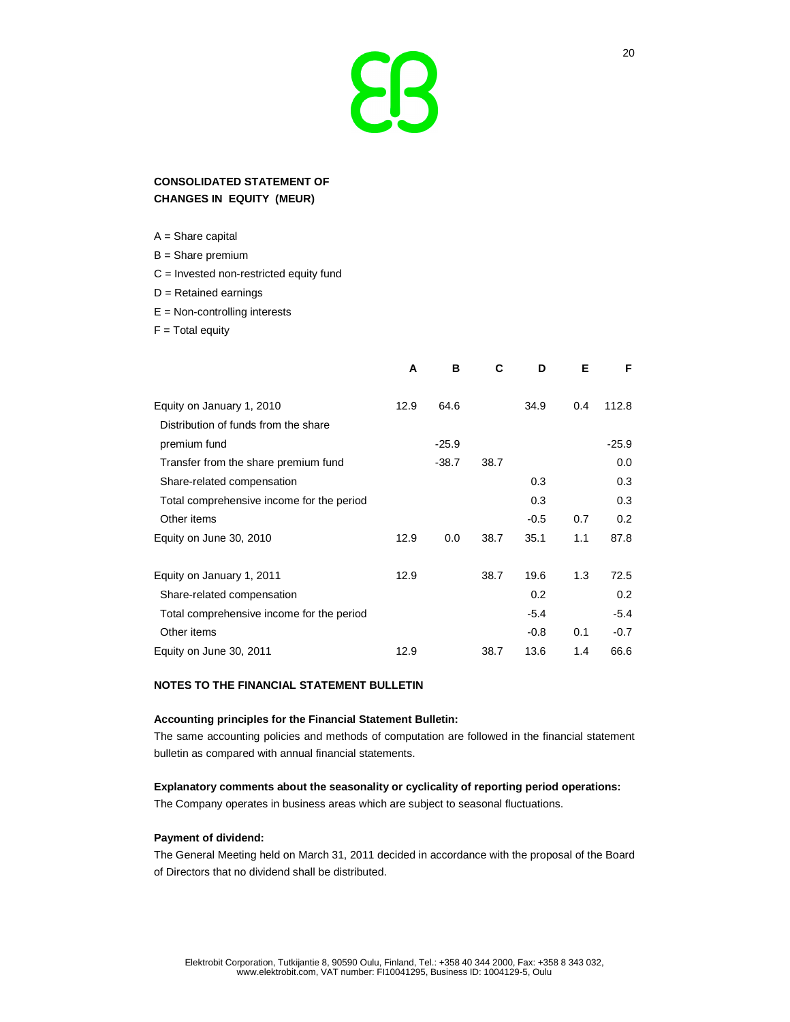# $\blacktriangleright$

## **CONSOLIDATED STATEMENT OF CHANGES IN EQUITY (MEUR)**

A = Share capital

- B = Share premium
- C = Invested non-restricted equity fund
- D = Retained earnings
- E = Non-controlling interests
- $F = Total$  equity

|                                           | A    | в       | С    | D      | Е   | F       |
|-------------------------------------------|------|---------|------|--------|-----|---------|
|                                           |      |         |      |        |     |         |
| Equity on January 1, 2010                 | 12.9 | 64.6    |      | 34.9   | 0.4 | 112.8   |
| Distribution of funds from the share      |      |         |      |        |     |         |
| premium fund                              |      | $-25.9$ |      |        |     | $-25.9$ |
| Transfer from the share premium fund      |      | $-38.7$ | 38.7 |        |     | 0.0     |
| Share-related compensation                |      |         |      | 0.3    |     | 0.3     |
| Total comprehensive income for the period |      |         |      | 0.3    |     | 0.3     |
| Other items                               |      |         |      | $-0.5$ | 0.7 | 0.2     |
| Equity on June 30, 2010                   | 12.9 | 0.0     | 38.7 | 35.1   | 1.1 | 87.8    |
|                                           |      |         |      |        |     |         |
| Equity on January 1, 2011                 | 12.9 |         | 38.7 | 19.6   | 1.3 | 72.5    |
| Share-related compensation                |      |         |      | 0.2    |     | 0.2     |
| Total comprehensive income for the period |      |         |      | $-5.4$ |     | $-5.4$  |
| Other items                               |      |         |      | $-0.8$ | 0.1 | $-0.7$  |
| Equity on June 30, 2011                   | 12.9 |         | 38.7 | 13.6   | 1.4 | 66.6    |

## **NOTES TO THE FINANCIAL STATEMENT BULLETIN**

#### **Accounting principles for the Financial Statement Bulletin:**

The same accounting policies and methods of computation are followed in the financial statement bulletin as compared with annual financial statements.

## **Explanatory comments about the seasonality or cyclicality of reporting period operations:**

The Company operates in business areas which are subject to seasonal fluctuations.

## **Payment of dividend:**

The General Meeting held on March 31, 2011 decided in accordance with the proposal of the Board of Directors that no dividend shall be distributed.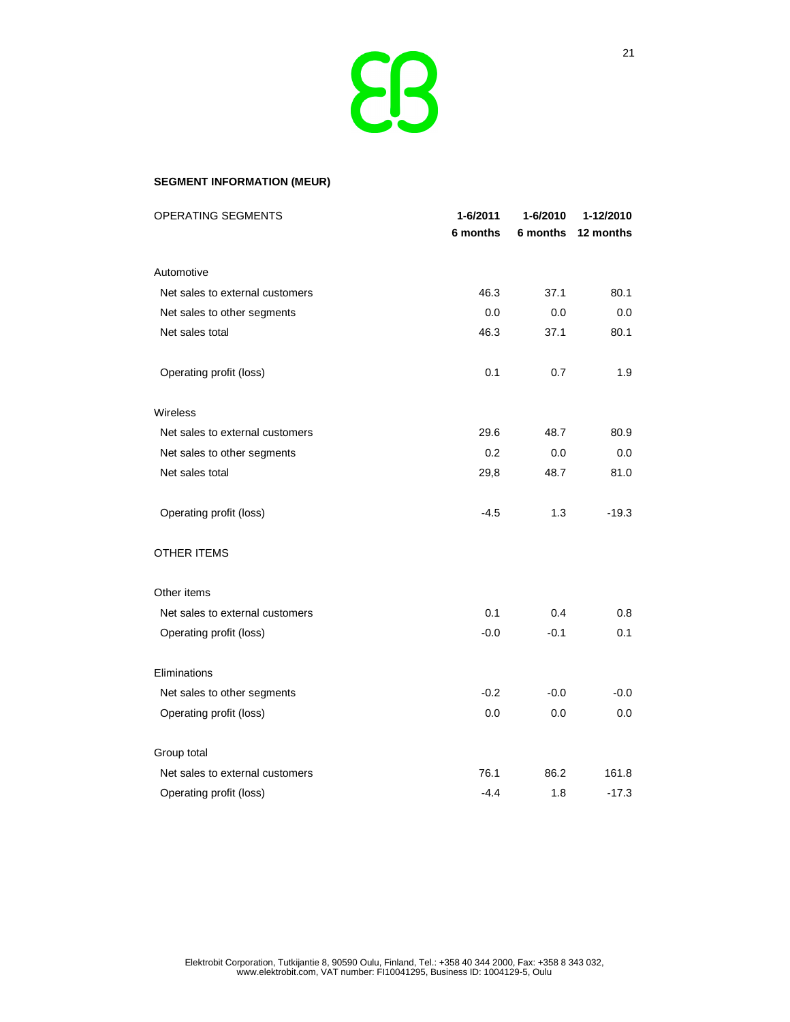

## **SEGMENT INFORMATION (MEUR)**

| OPERATING SEGMENTS              | 1-6/2011 | 1-6/2010 | 1-12/2010 |  |
|---------------------------------|----------|----------|-----------|--|
|                                 | 6 months | 6 months | 12 months |  |
| Automotive                      |          |          |           |  |
| Net sales to external customers | 46.3     | 37.1     | 80.1      |  |
| Net sales to other segments     | 0.0      | 0.0      | 0.0       |  |
| Net sales total                 | 46.3     | 37.1     | 80.1      |  |
| Operating profit (loss)         | 0.1      | 0.7      | 1.9       |  |
| Wireless                        |          |          |           |  |
| Net sales to external customers | 29.6     | 48.7     | 80.9      |  |
| Net sales to other segments     | 0.2      | 0.0      | 0.0       |  |
| Net sales total                 | 29,8     | 48.7     | 81.0      |  |
| Operating profit (loss)         | $-4.5$   | 1.3      | $-19.3$   |  |
| <b>OTHER ITEMS</b>              |          |          |           |  |
| Other items                     |          |          |           |  |
| Net sales to external customers | 0.1      | 0.4      | 0.8       |  |
| Operating profit (loss)         | $-0.0$   | $-0.1$   | 0.1       |  |
| Eliminations                    |          |          |           |  |
| Net sales to other segments     | $-0.2$   | $-0.0$   | $-0.0$    |  |
| Operating profit (loss)         | 0.0      | 0.0      | 0.0       |  |
| Group total                     |          |          |           |  |
| Net sales to external customers | 76.1     | 86.2     | 161.8     |  |
| Operating profit (loss)         | $-4.4$   | 1.8      | $-17.3$   |  |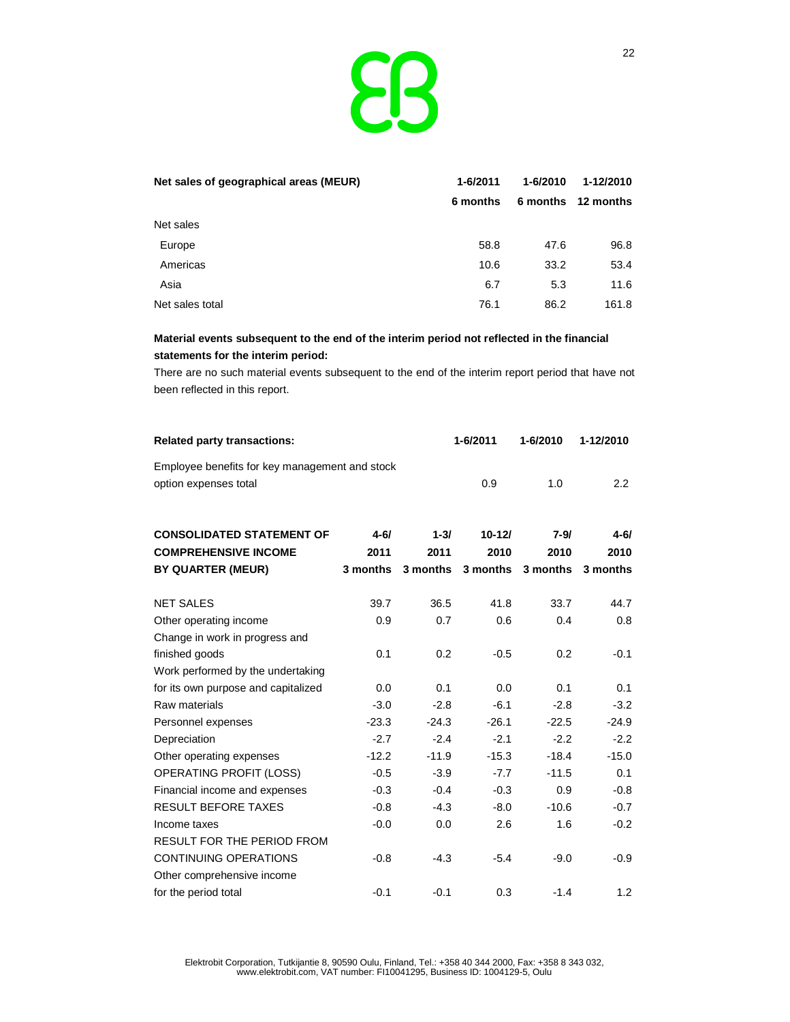

| Net sales of geographical areas (MEUR) | 1-6/2011 | $1 - 6/2010$ | 1-12/2010          |
|----------------------------------------|----------|--------------|--------------------|
|                                        | 6 months |              | 6 months 12 months |
| Net sales                              |          |              |                    |
| Europe                                 | 58.8     | 47.6         | 96.8               |
| Americas                               | 10.6     | 33.2         | 53.4               |
| Asia                                   | 6.7      | 5.3          | 11.6               |
| Net sales total                        | 76.1     | 86.2         | 161.8              |

# **Material events subsequent to the end of the interim period not reflected in the financial statements for the interim period:**

There are no such material events subsequent to the end of the interim report period that have not been reflected in this report.

| <b>Related party transactions:</b>             |          |          | 1-6/2011   | 1-6/2010 | 1-12/2010 |
|------------------------------------------------|----------|----------|------------|----------|-----------|
| Employee benefits for key management and stock |          |          |            |          |           |
| option expenses total                          |          |          | 0.9        | 1.0      | 2.2       |
|                                                |          |          |            |          |           |
| <b>CONSOLIDATED STATEMENT OF</b>               | $4 - 61$ | $1 - 3/$ | $10 - 121$ | $7 - 9/$ | $4 - 6/$  |
| <b>COMPREHENSIVE INCOME</b>                    | 2011     | 2011     | 2010       | 2010     | 2010      |
| BY QUARTER (MEUR)                              | 3 months | 3 months | 3 months   | 3 months | 3 months  |
| <b>NET SALES</b>                               | 39.7     | 36.5     | 41.8       | 33.7     | 44.7      |
| Other operating income                         | 0.9      | 0.7      | 0.6        | 0.4      | 0.8       |
| Change in work in progress and                 |          |          |            |          |           |
| finished goods                                 | 0.1      | 0.2      | $-0.5$     | 0.2      | $-0.1$    |
| Work performed by the undertaking              |          |          |            |          |           |
| for its own purpose and capitalized            | 0.0      | 0.1      | 0.0        | 0.1      | 0.1       |
| Raw materials                                  | $-3.0$   | $-2.8$   | $-6.1$     | $-2.8$   | $-3.2$    |
| Personnel expenses                             | $-23.3$  | $-24.3$  | $-26.1$    | $-22.5$  | $-24.9$   |
| Depreciation                                   | $-2.7$   | $-2.4$   | $-2.1$     | $-2.2$   | $-2.2$    |
| Other operating expenses                       | $-12.2$  | $-11.9$  | $-15.3$    | $-18.4$  | $-15.0$   |
| <b>OPERATING PROFIT (LOSS)</b>                 | $-0.5$   | $-3.9$   | $-7.7$     | $-11.5$  | 0.1       |
| Financial income and expenses                  | $-0.3$   | $-0.4$   | $-0.3$     | 0.9      | $-0.8$    |
| <b>RESULT BEFORE TAXES</b>                     | $-0.8$   | $-4.3$   | $-8.0$     | $-10.6$  | $-0.7$    |
| Income taxes                                   | $-0.0$   | 0.0      | 2.6        | 1.6      | $-0.2$    |
| <b>RESULT FOR THE PERIOD FROM</b>              |          |          |            |          |           |
| <b>CONTINUING OPERATIONS</b>                   | $-0.8$   | $-4.3$   | $-5.4$     | $-9.0$   | $-0.9$    |
| Other comprehensive income                     |          |          |            |          |           |
| for the period total                           | $-0.1$   | $-0.1$   | 0.3        | $-1.4$   | 1.2       |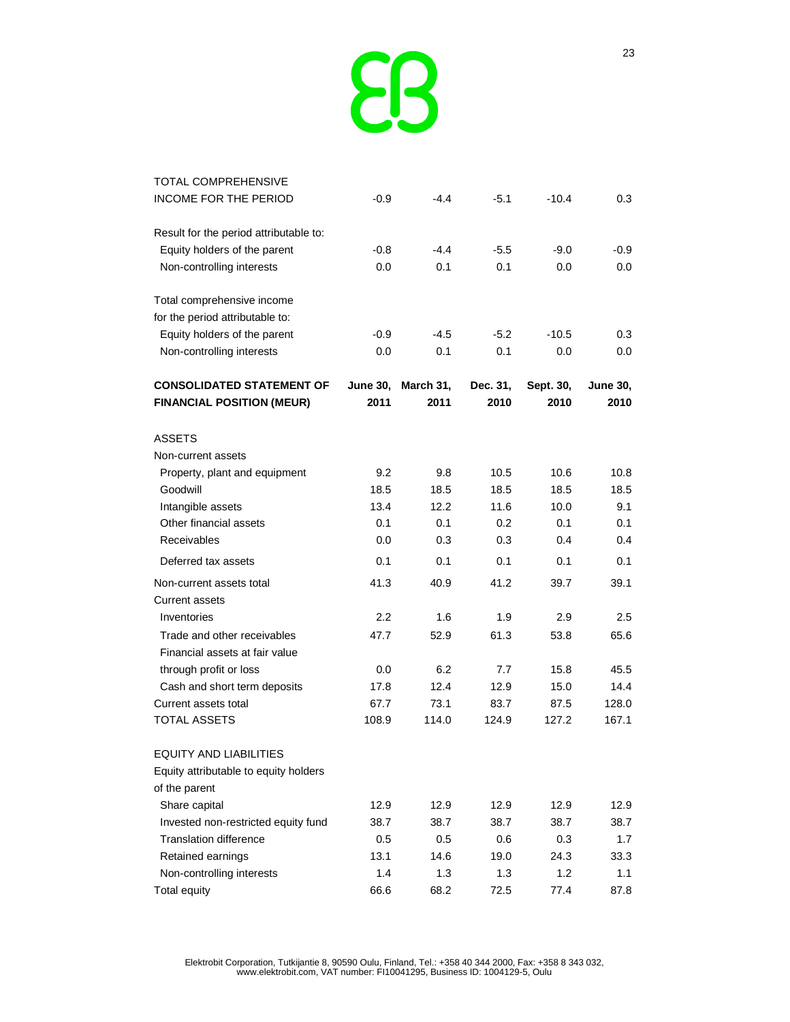

| <b>TOTAL COMPREHENSIVE</b>                                    |                 |           |          |           |                 |
|---------------------------------------------------------------|-----------------|-----------|----------|-----------|-----------------|
| INCOME FOR THE PERIOD                                         | -0.9            | $-4.4$    | $-5.1$   | $-10.4$   | 0.3             |
| Result for the period attributable to:                        |                 |           |          |           |                 |
| Equity holders of the parent                                  | -0.8            | $-4.4$    | $-5.5$   | $-9.0$    | $-0.9$          |
| Non-controlling interests                                     | 0.0             | 0.1       | 0.1      | 0.0       | 0.0             |
| Total comprehensive income                                    |                 |           |          |           |                 |
| for the period attributable to:                               |                 |           |          |           |                 |
| Equity holders of the parent                                  | -0.9            | $-4.5$    | $-5.2$   | $-10.5$   | 0.3             |
| Non-controlling interests                                     | 0.0             | 0.1       | 0.1      | 0.0       | 0.0             |
| <b>CONSOLIDATED STATEMENT OF</b>                              | <b>June 30,</b> | March 31, | Dec. 31, | Sept. 30, | <b>June 30,</b> |
| <b>FINANCIAL POSITION (MEUR)</b>                              | 2011            | 2011      | 2010     | 2010      | 2010            |
| <b>ASSETS</b>                                                 |                 |           |          |           |                 |
| Non-current assets                                            |                 |           |          |           |                 |
| Property, plant and equipment                                 | 9.2             | 9.8       | 10.5     | 10.6      | 10.8            |
| Goodwill                                                      | 18.5            | 18.5      | 18.5     | 18.5      | 18.5            |
| Intangible assets                                             | 13.4            | 12.2      | 11.6     | 10.0      | 9.1             |
| Other financial assets                                        | 0.1             | 0.1       | 0.2      | 0.1       | 0.1             |
| Receivables                                                   | 0.0             | 0.3       | 0.3      | 0.4       | 0.4             |
| Deferred tax assets                                           | 0.1             | 0.1       | 0.1      | 0.1       | 0.1             |
| Non-current assets total                                      | 41.3            | 40.9      | 41.2     | 39.7      | 39.1            |
| <b>Current assets</b>                                         |                 |           |          |           |                 |
| Inventories                                                   | 2.2             | 1.6       | 1.9      | 2.9       | 2.5             |
| Trade and other receivables<br>Financial assets at fair value | 47.7            | 52.9      | 61.3     | 53.8      | 65.6            |
| through profit or loss                                        | 0.0             | 6.2       | 7.7      | 15.8      | 45.5            |
| Cash and short term deposits                                  | 17.8            | 12.4      | 12.9     | 15.0      | 14.4            |
| Current assets total                                          | 67.7            | 73.1      | 83.7     | 87.5      | 128.0           |
| TOTAL ASSETS                                                  | 108.9           | 114.0     | 124.9    | 127.2     | 167.1           |
| <b>EQUITY AND LIABILITIES</b>                                 |                 |           |          |           |                 |
| Equity attributable to equity holders                         |                 |           |          |           |                 |
| of the parent                                                 |                 |           |          |           |                 |
| Share capital                                                 | 12.9            | 12.9      | 12.9     | 12.9      | 12.9            |
| Invested non-restricted equity fund                           | 38.7            | 38.7      | 38.7     | 38.7      | 38.7            |
| <b>Translation difference</b>                                 | 0.5             | 0.5       | 0.6      | 0.3       | 1.7             |
| Retained earnings                                             | 13.1            | 14.6      | 19.0     | 24.3      | 33.3            |
| Non-controlling interests                                     | 1.4             | 1.3       | 1.3      | 1.2       | 1.1             |
| <b>Total equity</b>                                           | 66.6            | 68.2      | 72.5     | 77.4      | 87.8            |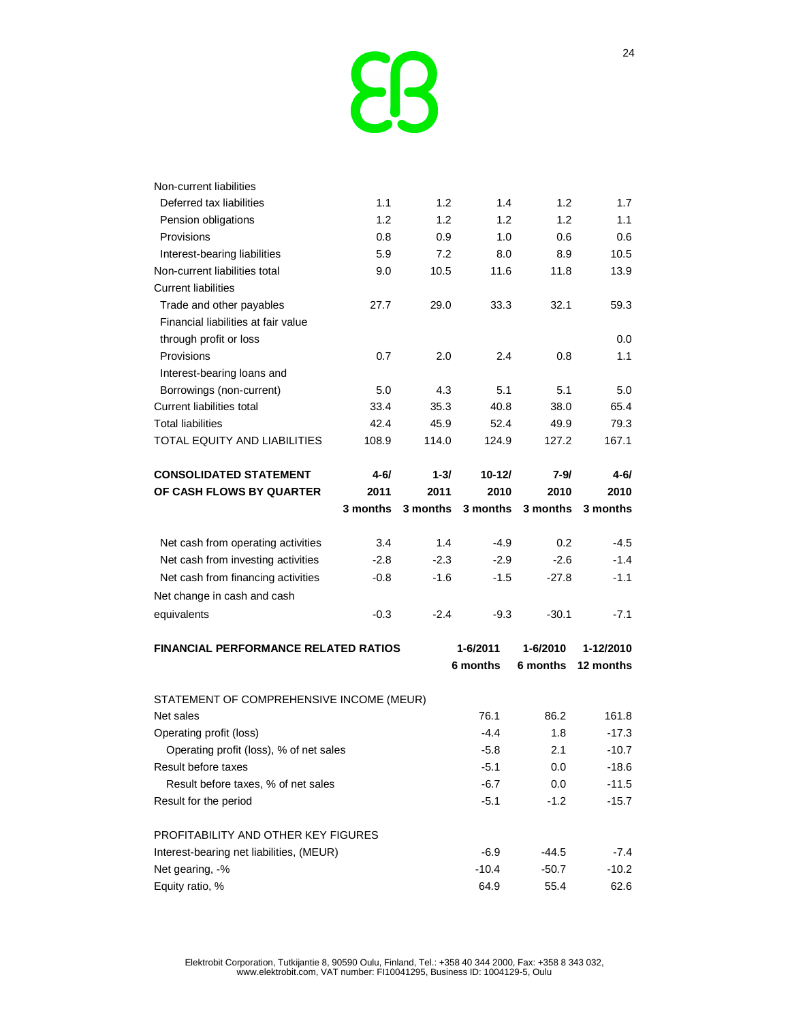

| Non-current liabilities                     |          |          |            |          |           |
|---------------------------------------------|----------|----------|------------|----------|-----------|
| Deferred tax liabilities                    | 1.1      | 1.2      | 1.4        | 1.2      | 1.7       |
| Pension obligations                         | 1.2      | 1.2      | 1.2        | 1.2      | 1.1       |
| Provisions                                  | 0.8      | 0.9      | 1.0        | 0.6      | 0.6       |
| Interest-bearing liabilities                | 5.9      | 7.2      | 8.0        | 8.9      | 10.5      |
| Non-current liabilities total               | 9.0      | 10.5     | 11.6       | 11.8     | 13.9      |
| <b>Current liabilities</b>                  |          |          |            |          |           |
| Trade and other payables                    | 27.7     | 29.0     | 33.3       | 32.1     | 59.3      |
| Financial liabilities at fair value         |          |          |            |          |           |
| through profit or loss                      |          |          |            |          | 0.0       |
| Provisions                                  | 0.7      | 2.0      | 2.4        | 0.8      | 1.1       |
| Interest-bearing loans and                  |          |          |            |          |           |
| Borrowings (non-current)                    | 5.0      | 4.3      | 5.1        | 5.1      | 5.0       |
| Current liabilities total                   | 33.4     | 35.3     | 40.8       | 38.0     | 65.4      |
| <b>Total liabilities</b>                    | 42.4     | 45.9     | 52.4       | 49.9     | 79.3      |
| TOTAL EQUITY AND LIABILITIES                | 108.9    | 114.0    | 124.9      | 127.2    | 167.1     |
| <b>CONSOLIDATED STATEMENT</b>               | 4-6/     | $1 - 3/$ | $10 - 121$ | 7-9/     | 4-6/      |
| OF CASH FLOWS BY QUARTER                    | 2011     | 2011     | 2010       | 2010     | 2010      |
|                                             | 3 months | 3 months | 3 months   | 3 months | 3 months  |
| Net cash from operating activities          | 3.4      | 1.4      | $-4.9$     | 0.2      | $-4.5$    |
| Net cash from investing activities          | $-2.8$   | -2.3     | $-2.9$     | $-2.6$   | $-1.4$    |
| Net cash from financing activities          | -0.8     | $-1.6$   | $-1.5$     | $-27.8$  | $-1.1$    |
| Net change in cash and cash                 |          |          |            |          |           |
| equivalents                                 | $-0.3$   | -2.4     | $-9.3$     | $-30.1$  | $-7.1$    |
| <b>FINANCIAL PERFORMANCE RELATED RATIOS</b> |          |          | 1-6/2011   | 1-6/2010 | 1-12/2010 |
|                                             |          |          | 6 months   | 6 months | 12 months |
| STATEMENT OF COMPREHENSIVE INCOME (MEUR)    |          |          |            |          |           |
| Net sales                                   |          |          | 76.1       | 86.2     | 161.8     |
| Operating profit (loss)                     |          |          | $-4.4$     | 1.8      | $-17.3$   |
| Operating profit (loss), % of net sales     |          |          | $-5.8$     | 2.1      | $-10.7$   |
| Result before taxes                         |          |          | $-5.1$     | 0.0      | $-18.6$   |
| Result before taxes, % of net sales         |          |          | $-6.7$     | 0.0      | $-11.5$   |
| Result for the period                       |          |          | $-5.1$     | $-1.2$   | $-15.7$   |
| PROFITABILITY AND OTHER KEY FIGURES         |          |          |            |          |           |
| Interest-bearing net liabilities, (MEUR)    |          |          | $-6.9$     | $-44.5$  | $-7.4$    |
| Net gearing, -%                             |          |          | $-10.4$    | $-50.7$  | $-10.2$   |
| Equity ratio, %                             |          |          | 64.9       | 55.4     | 62.6      |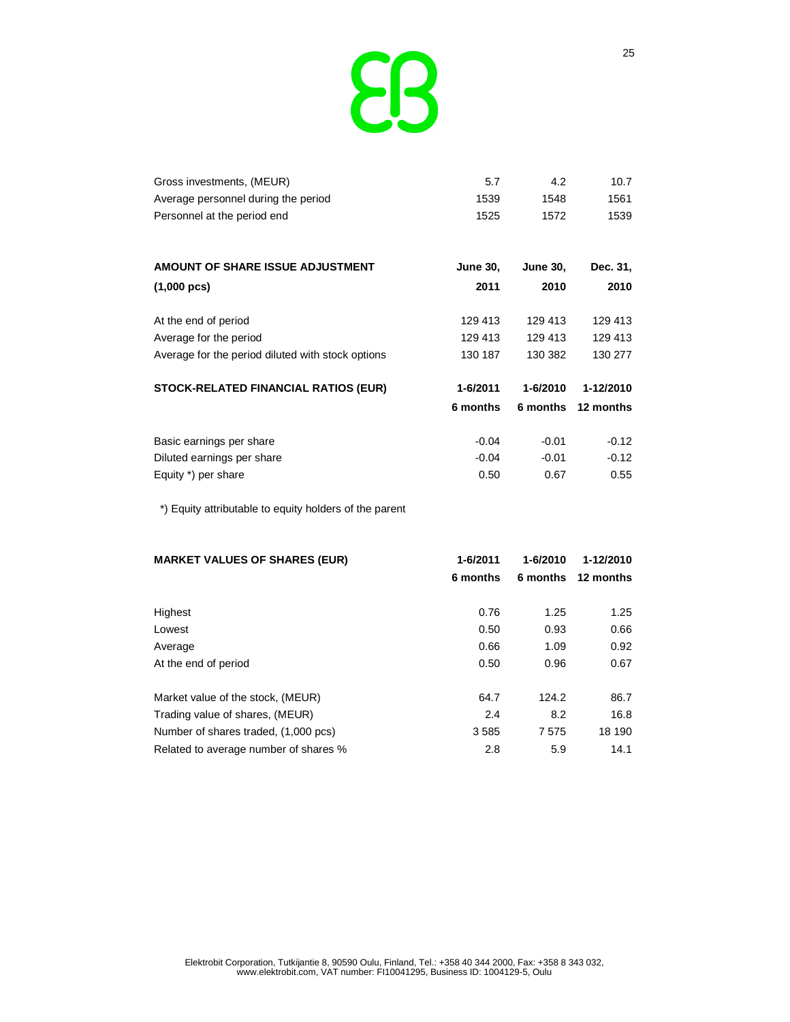

| Gross investments, (MEUR)           | 5.7  | 4.2  | 10.7 |
|-------------------------------------|------|------|------|
| Average personnel during the period | 1539 | 1548 | 1561 |
| Personnel at the period end         | 1525 | 1572 | 1539 |

| AMOUNT OF SHARE ISSUE ADJUSTMENT                  | <b>June 30,</b> | <b>June 30,</b> | Dec. 31,  |
|---------------------------------------------------|-----------------|-----------------|-----------|
| $(1,000 \text{ pcs})$                             | 2011            | 2010            | 2010      |
|                                                   |                 |                 |           |
| At the end of period                              | 129 413         | 129 413         | 129 413   |
| Average for the period                            | 129 413         | 129 413         | 129 413   |
| Average for the period diluted with stock options | 130 187         | 130 382         | 130 277   |
| <b>STOCK-RELATED FINANCIAL RATIOS (EUR)</b>       | 1-6/2011        | 1-6/2010        | 1-12/2010 |
|                                                   | 6 months        | 6 months        | 12 months |
| Basic earnings per share                          | $-0.04$         | $-0.01$         | $-0.12$   |
| Diluted earnings per share                        | $-0.04$         | $-0.01$         | $-0.12$   |
| Equity *) per share                               | 0.50            | 0.67            | 0.55      |

\*) Equity attributable to equity holders of the parent

| <b>MARKET VALUES OF SHARES (EUR)</b>  | 1-6/2011 | 1-6/2010 | 1-12/2010 |  |
|---------------------------------------|----------|----------|-----------|--|
|                                       | 6 months | 6 months | 12 months |  |
|                                       |          |          |           |  |
| Highest                               | 0.76     | 1.25     | 1.25      |  |
| Lowest                                | 0.50     | 0.93     | 0.66      |  |
| Average                               | 0.66     | 1.09     | 0.92      |  |
| At the end of period                  | 0.50     | 0.96     | 0.67      |  |
|                                       |          |          |           |  |
| Market value of the stock, (MEUR)     | 64.7     | 124.2    | 86.7      |  |
| Trading value of shares, (MEUR)       | 2.4      | 8.2      | 16.8      |  |
| Number of shares traded, (1,000 pcs)  | 3585     | 7575     | 18 190    |  |
| Related to average number of shares % | 2.8      | 5.9      | 14.1      |  |